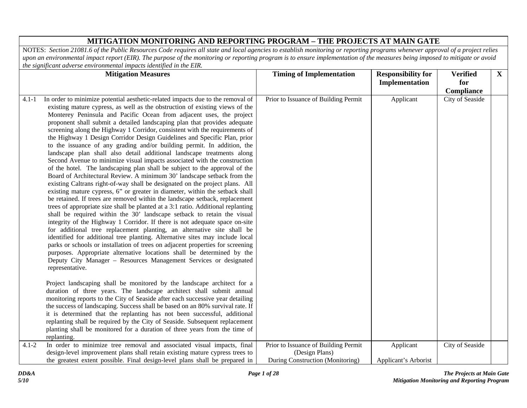|           | <b>Mitigation Measures</b>                                                                                                                                                                                                                                                                                                                                                                                                                                                                                                                                                                                                                                                                                                                                                                                                                                                                                                                                                                                                                                                                                                                                                                                                                                                                                                                                                                                                                                                                                                                                                                                                                                                                                                                                                                                                                                                                                                                                                                                                                                                                                                                                                                                                                                             | <b>Timing of Implementation</b>                                                            | <b>Responsibility for</b>         | <b>Verified</b> | $\mathbf{X}$ |
|-----------|------------------------------------------------------------------------------------------------------------------------------------------------------------------------------------------------------------------------------------------------------------------------------------------------------------------------------------------------------------------------------------------------------------------------------------------------------------------------------------------------------------------------------------------------------------------------------------------------------------------------------------------------------------------------------------------------------------------------------------------------------------------------------------------------------------------------------------------------------------------------------------------------------------------------------------------------------------------------------------------------------------------------------------------------------------------------------------------------------------------------------------------------------------------------------------------------------------------------------------------------------------------------------------------------------------------------------------------------------------------------------------------------------------------------------------------------------------------------------------------------------------------------------------------------------------------------------------------------------------------------------------------------------------------------------------------------------------------------------------------------------------------------------------------------------------------------------------------------------------------------------------------------------------------------------------------------------------------------------------------------------------------------------------------------------------------------------------------------------------------------------------------------------------------------------------------------------------------------------------------------------------------------|--------------------------------------------------------------------------------------------|-----------------------------------|-----------------|--------------|
|           |                                                                                                                                                                                                                                                                                                                                                                                                                                                                                                                                                                                                                                                                                                                                                                                                                                                                                                                                                                                                                                                                                                                                                                                                                                                                                                                                                                                                                                                                                                                                                                                                                                                                                                                                                                                                                                                                                                                                                                                                                                                                                                                                                                                                                                                                        |                                                                                            | Implementation                    | for             |              |
|           |                                                                                                                                                                                                                                                                                                                                                                                                                                                                                                                                                                                                                                                                                                                                                                                                                                                                                                                                                                                                                                                                                                                                                                                                                                                                                                                                                                                                                                                                                                                                                                                                                                                                                                                                                                                                                                                                                                                                                                                                                                                                                                                                                                                                                                                                        |                                                                                            |                                   | Compliance      |              |
| $4.1 - 1$ | In order to minimize potential aesthetic-related impacts due to the removal of<br>existing mature cypress, as well as the obstruction of existing views of the<br>Monterey Peninsula and Pacific Ocean from adjacent uses, the project<br>proponent shall submit a detailed landscaping plan that provides adequate<br>screening along the Highway 1 Corridor, consistent with the requirements of<br>the Highway 1 Design Corridor Design Guidelines and Specific Plan, prior<br>to the issuance of any grading and/or building permit. In addition, the<br>landscape plan shall also detail additional landscape treatments along<br>Second Avenue to minimize visual impacts associated with the construction<br>of the hotel. The landscaping plan shall be subject to the approval of the<br>Board of Architectural Review. A minimum 30' landscape setback from the<br>existing Caltrans right-of-way shall be designated on the project plans. All<br>existing mature cypress, 6" or greater in diameter, within the setback shall<br>be retained. If trees are removed within the landscape setback, replacement<br>trees of appropriate size shall be planted at a 3:1 ratio. Additional replanting<br>shall be required within the 30' landscape setback to retain the visual<br>integrity of the Highway 1 Corridor. If there is not adequate space on-site<br>for additional tree replacement planting, an alternative site shall be<br>identified for additional tree planting. Alternative sites may include local<br>parks or schools or installation of trees on adjacent properties for screening<br>purposes. Appropriate alternative locations shall be determined by the<br>Deputy City Manager - Resources Management Services or designated<br>representative.<br>Project landscaping shall be monitored by the landscape architect for a<br>duration of three years. The landscape architect shall submit annual<br>monitoring reports to the City of Seaside after each successive year detailing<br>the success of landscaping. Success shall be based on an 80% survival rate. If<br>it is determined that the replanting has not been successful, additional<br>replanting shall be required by the City of Seaside. Subsequent replacement | Prior to Issuance of Building Permit                                                       | Applicant                         | City of Seaside |              |
|           | planting shall be monitored for a duration of three years from the time of<br>replanting.                                                                                                                                                                                                                                                                                                                                                                                                                                                                                                                                                                                                                                                                                                                                                                                                                                                                                                                                                                                                                                                                                                                                                                                                                                                                                                                                                                                                                                                                                                                                                                                                                                                                                                                                                                                                                                                                                                                                                                                                                                                                                                                                                                              |                                                                                            |                                   |                 |              |
| $4.1 - 2$ | In order to minimize tree removal and associated visual impacts, final<br>design-level improvement plans shall retain existing mature cypress trees to<br>the greatest extent possible. Final design-level plans shall be prepared in                                                                                                                                                                                                                                                                                                                                                                                                                                                                                                                                                                                                                                                                                                                                                                                                                                                                                                                                                                                                                                                                                                                                                                                                                                                                                                                                                                                                                                                                                                                                                                                                                                                                                                                                                                                                                                                                                                                                                                                                                                  | Prior to Issuance of Building Permit<br>(Design Plans)<br>During Construction (Monitoring) | Applicant<br>Applicant's Arborist | City of Seaside |              |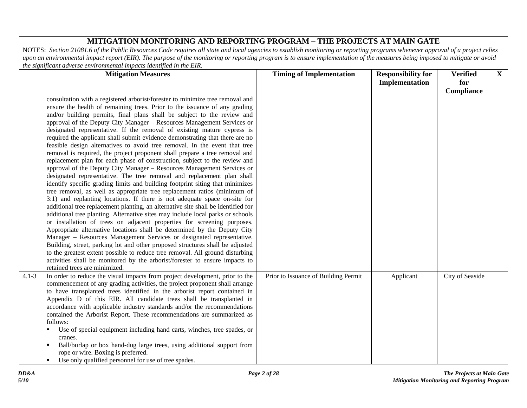| <b>Mitigation Measures</b>                                                                                                                                                                                                                                                                                                                                                                                                                                                                                                                                                                                                                                                                                                                                                                                                                                                                                                                                                                                                                                                                                                                                                                                                                                                                                                                                                                                                                                                                                                                                                                                                                                                                                                                                                                                    | <b>Timing of Implementation</b>      | <b>Responsibility for</b> | <b>Verified</b> | $\mathbf{X}$ |
|---------------------------------------------------------------------------------------------------------------------------------------------------------------------------------------------------------------------------------------------------------------------------------------------------------------------------------------------------------------------------------------------------------------------------------------------------------------------------------------------------------------------------------------------------------------------------------------------------------------------------------------------------------------------------------------------------------------------------------------------------------------------------------------------------------------------------------------------------------------------------------------------------------------------------------------------------------------------------------------------------------------------------------------------------------------------------------------------------------------------------------------------------------------------------------------------------------------------------------------------------------------------------------------------------------------------------------------------------------------------------------------------------------------------------------------------------------------------------------------------------------------------------------------------------------------------------------------------------------------------------------------------------------------------------------------------------------------------------------------------------------------------------------------------------------------|--------------------------------------|---------------------------|-----------------|--------------|
|                                                                                                                                                                                                                                                                                                                                                                                                                                                                                                                                                                                                                                                                                                                                                                                                                                                                                                                                                                                                                                                                                                                                                                                                                                                                                                                                                                                                                                                                                                                                                                                                                                                                                                                                                                                                               |                                      | Implementation            | for             |              |
|                                                                                                                                                                                                                                                                                                                                                                                                                                                                                                                                                                                                                                                                                                                                                                                                                                                                                                                                                                                                                                                                                                                                                                                                                                                                                                                                                                                                                                                                                                                                                                                                                                                                                                                                                                                                               |                                      |                           | Compliance      |              |
| consultation with a registered arborist/forester to minimize tree removal and<br>ensure the health of remaining trees. Prior to the issuance of any grading<br>and/or building permits, final plans shall be subject to the review and<br>approval of the Deputy City Manager - Resources Management Services or<br>designated representative. If the removal of existing mature cypress is<br>required the applicant shall submit evidence demonstrating that there are no<br>feasible design alternatives to avoid tree removal. In the event that tree<br>removal is required, the project proponent shall prepare a tree removal and<br>replacement plan for each phase of construction, subject to the review and<br>approval of the Deputy City Manager - Resources Management Services or<br>designated representative. The tree removal and replacement plan shall<br>identify specific grading limits and building footprint siting that minimizes<br>tree removal, as well as appropriate tree replacement ratios (minimum of<br>3:1) and replanting locations. If there is not adequate space on-site for<br>additional tree replacement planting, an alternative site shall be identified for<br>additional tree planting. Alternative sites may include local parks or schools<br>or installation of trees on adjacent properties for screening purposes.<br>Appropriate alternative locations shall be determined by the Deputy City<br>Manager - Resources Management Services or designated representative.<br>Building, street, parking lot and other proposed structures shall be adjusted<br>to the greatest extent possible to reduce tree removal. All ground disturbing<br>activities shall be monitored by the arborist/forester to ensure impacts to<br>retained trees are minimized. |                                      |                           |                 |              |
| In order to reduce the visual impacts from project development, prior to the<br>$4.1 - 3$<br>commencement of any grading activities, the project proponent shall arrange<br>to have transplanted trees identified in the arborist report contained in<br>Appendix D of this EIR. All candidate trees shall be transplanted in<br>accordance with applicable industry standards and/or the recommendations<br>contained the Arborist Report. These recommendations are summarized as<br>follows:<br>Use of special equipment including hand carts, winches, tree spades, or<br>cranes.<br>Ball/burlap or box hand-dug large trees, using additional support from<br>rope or wire. Boxing is preferred.<br>Use only qualified personnel for use of tree spades.<br>$\blacksquare$                                                                                                                                                                                                                                                                                                                                                                                                                                                                                                                                                                                                                                                                                                                                                                                                                                                                                                                                                                                                                               | Prior to Issuance of Building Permit | Applicant                 | City of Seaside |              |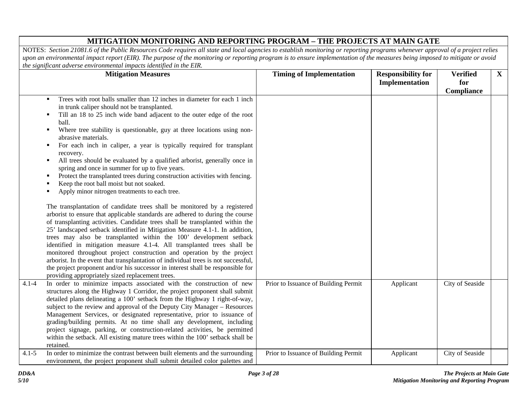|           | <b>Mitigation Measures</b>                                                                                                                                                                                                                                                                                                                                                                                                                                                                                                                                                                                                                                                                                                                                                         | <b>Timing of Implementation</b>      | <b>Responsibility for</b> | <b>Verified</b> | $\mathbf{X}$ |
|-----------|------------------------------------------------------------------------------------------------------------------------------------------------------------------------------------------------------------------------------------------------------------------------------------------------------------------------------------------------------------------------------------------------------------------------------------------------------------------------------------------------------------------------------------------------------------------------------------------------------------------------------------------------------------------------------------------------------------------------------------------------------------------------------------|--------------------------------------|---------------------------|-----------------|--------------|
|           |                                                                                                                                                                                                                                                                                                                                                                                                                                                                                                                                                                                                                                                                                                                                                                                    |                                      | Implementation            | for             |              |
|           |                                                                                                                                                                                                                                                                                                                                                                                                                                                                                                                                                                                                                                                                                                                                                                                    |                                      |                           | Compliance      |              |
|           | Trees with root balls smaller than 12 inches in diameter for each 1 inch<br>$\blacksquare$<br>in trunk caliper should not be transplanted.<br>Till an 18 to 25 inch wide band adjacent to the outer edge of the root<br>ball.<br>Where tree stability is questionable, guy at three locations using non-<br>٠<br>abrasive materials.<br>For each inch in caliper, a year is typically required for transplant<br>٠<br>recovery.<br>All trees should be evaluated by a qualified arborist, generally once in<br>$\blacksquare$<br>spring and once in summer for up to five years.<br>Protect the transplanted trees during construction activities with fencing.<br>$\blacksquare$                                                                                                  |                                      |                           |                 |              |
|           | Keep the root ball moist but not soaked.                                                                                                                                                                                                                                                                                                                                                                                                                                                                                                                                                                                                                                                                                                                                           |                                      |                           |                 |              |
|           | Apply minor nitrogen treatments to each tree.                                                                                                                                                                                                                                                                                                                                                                                                                                                                                                                                                                                                                                                                                                                                      |                                      |                           |                 |              |
|           | The transplantation of candidate trees shall be monitored by a registered<br>arborist to ensure that applicable standards are adhered to during the course<br>of transplanting activities. Candidate trees shall be transplanted within the<br>25' landscaped setback identified in Mitigation Measure 4.1-1. In addition,<br>trees may also be transplanted within the 100' development setback<br>identified in mitigation measure 4.1-4. All transplanted trees shall be<br>monitored throughout project construction and operation by the project<br>arborist. In the event that transplantation of individual trees is not successful,<br>the project proponent and/or his successor in interest shall be responsible for<br>providing appropriately sized replacement trees. |                                      |                           |                 |              |
| $4.1 - 4$ | In order to minimize impacts associated with the construction of new<br>structures along the Highway 1 Corridor, the project proponent shall submit<br>detailed plans delineating a 100' setback from the Highway 1 right-of-way,<br>subject to the review and approval of the Deputy City Manager – Resources<br>Management Services, or designated representative, prior to issuance of<br>grading/building permits. At no time shall any development, including<br>project signage, parking, or construction-related activities, be permitted<br>within the setback. All existing mature trees within the 100' setback shall be<br>retained.                                                                                                                                    | Prior to Issuance of Building Permit | Applicant                 | City of Seaside |              |
| $4.1 - 5$ | In order to minimize the contrast between built elements and the surrounding<br>environment, the project proponent shall submit detailed color palettes and                                                                                                                                                                                                                                                                                                                                                                                                                                                                                                                                                                                                                        | Prior to Issuance of Building Permit | Applicant                 | City of Seaside |              |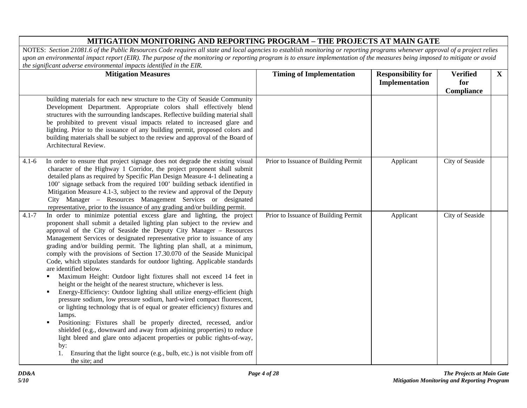|           | <b>Mitigation Measures</b>                                                                                                                                                                                                                                                                                                                                                                                                                                                                                                                                                                                                                                                                                                                                                                                                                                                                                                                                                                                                                                                                                                                                                                                                                                                                                                 | <b>Timing of Implementation</b>      | <b>Responsibility for</b><br>Implementation | <b>Verified</b><br>for | $\mathbf{X}$ |
|-----------|----------------------------------------------------------------------------------------------------------------------------------------------------------------------------------------------------------------------------------------------------------------------------------------------------------------------------------------------------------------------------------------------------------------------------------------------------------------------------------------------------------------------------------------------------------------------------------------------------------------------------------------------------------------------------------------------------------------------------------------------------------------------------------------------------------------------------------------------------------------------------------------------------------------------------------------------------------------------------------------------------------------------------------------------------------------------------------------------------------------------------------------------------------------------------------------------------------------------------------------------------------------------------------------------------------------------------|--------------------------------------|---------------------------------------------|------------------------|--------------|
|           | building materials for each new structure to the City of Seaside Community<br>Development Department. Appropriate colors shall effectively blend<br>structures with the surrounding landscapes. Reflective building material shall<br>be prohibited to prevent visual impacts related to increased glare and<br>lighting. Prior to the issuance of any building permit, proposed colors and<br>building materials shall be subject to the review and approval of the Board of<br>Architectural Review.                                                                                                                                                                                                                                                                                                                                                                                                                                                                                                                                                                                                                                                                                                                                                                                                                     |                                      |                                             | Compliance             |              |
| $4.1 - 6$ | In order to ensure that project signage does not degrade the existing visual<br>character of the Highway 1 Corridor, the project proponent shall submit<br>detailed plans as required by Specific Plan Design Measure 4-1 delineating a<br>100' signage setback from the required 100' building setback identified in<br>Mitigation Measure 4.1-3, subject to the review and approval of the Deputy<br>City Manager - Resources Management Services or designated<br>representative, prior to the issuance of any grading and/or building permit.                                                                                                                                                                                                                                                                                                                                                                                                                                                                                                                                                                                                                                                                                                                                                                          | Prior to Issuance of Building Permit | Applicant                                   | City of Seaside        |              |
| $4.1 - 7$ | In order to minimize potential excess glare and lighting, the project<br>proponent shall submit a detailed lighting plan subject to the review and<br>approval of the City of Seaside the Deputy City Manager - Resources<br>Management Services or designated representative prior to issuance of any<br>grading and/or building permit. The lighting plan shall, at a minimum,<br>comply with the provisions of Section 17.30.070 of the Seaside Municipal<br>Code, which stipulates standards for outdoor lighting. Applicable standards<br>are identified below.<br>Maximum Height: Outdoor light fixtures shall not exceed 14 feet in<br>٠<br>height or the height of the nearest structure, whichever is less.<br>Energy-Efficiency: Outdoor lighting shall utilize energy-efficient (high<br>pressure sodium, low pressure sodium, hard-wired compact fluorescent,<br>or lighting technology that is of equal or greater efficiency) fixtures and<br>lamps.<br>Positioning: Fixtures shall be properly directed, recessed, and/or<br>$\blacksquare$<br>shielded (e.g., downward and away from adjoining properties) to reduce<br>light bleed and glare onto adjacent properties or public rights-of-way,<br>by:<br>Ensuring that the light source (e.g., bulb, etc.) is not visible from off<br>1.<br>the site; and | Prior to Issuance of Building Permit | Applicant                                   | City of Seaside        |              |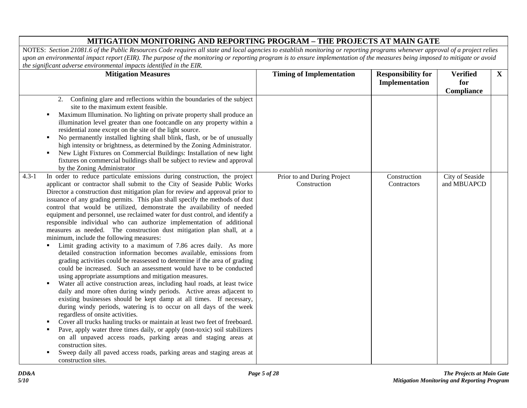| me significant aarerse environmental impacts taentifica in me <b>211.</b><br><b>Mitigation Measures</b>                                                                                                                                                                                                                                                                                                                                                                                                                                                                                                                                                                                                                                                                                                                                                                                                                                                                                                                                                                                                                                                                                                                                                                                                                                                                                                                                                                                                                                                                                                                                                                                                                                                     | <b>Timing of Implementation</b>             | <b>Responsibility for</b><br>Implementation | <b>Verified</b><br>for<br>Compliance | $\mathbf{X}$ |
|-------------------------------------------------------------------------------------------------------------------------------------------------------------------------------------------------------------------------------------------------------------------------------------------------------------------------------------------------------------------------------------------------------------------------------------------------------------------------------------------------------------------------------------------------------------------------------------------------------------------------------------------------------------------------------------------------------------------------------------------------------------------------------------------------------------------------------------------------------------------------------------------------------------------------------------------------------------------------------------------------------------------------------------------------------------------------------------------------------------------------------------------------------------------------------------------------------------------------------------------------------------------------------------------------------------------------------------------------------------------------------------------------------------------------------------------------------------------------------------------------------------------------------------------------------------------------------------------------------------------------------------------------------------------------------------------------------------------------------------------------------------|---------------------------------------------|---------------------------------------------|--------------------------------------|--------------|
| Confining glare and reflections within the boundaries of the subject<br>2.<br>site to the maximum extent feasible.<br>Maximum Illumination. No lighting on private property shall produce an<br>٠<br>illumination level greater than one footcandle on any property within a<br>residential zone except on the site of the light source.<br>No permanently installed lighting shall blink, flash, or be of unusually<br>٠<br>high intensity or brightness, as determined by the Zoning Administrator.<br>New Light Fixtures on Commercial Buildings: Installation of new light<br>٠<br>fixtures on commercial buildings shall be subject to review and approval<br>by the Zoning Administrator                                                                                                                                                                                                                                                                                                                                                                                                                                                                                                                                                                                                                                                                                                                                                                                                                                                                                                                                                                                                                                                              |                                             |                                             |                                      |              |
| In order to reduce particulate emissions during construction, the project<br>$4.3 - 1$<br>applicant or contractor shall submit to the City of Seaside Public Works<br>Director a construction dust mitigation plan for review and approval prior to<br>issuance of any grading permits. This plan shall specify the methods of dust<br>control that would be utilized, demonstrate the availability of needed<br>equipment and personnel, use reclaimed water for dust control, and identify a<br>responsible individual who can authorize implementation of additional<br>measures as needed. The construction dust mitigation plan shall, at a<br>minimum, include the following measures:<br>Limit grading activity to a maximum of 7.86 acres daily. As more<br>٠<br>detailed construction information becomes available, emissions from<br>grading activities could be reassessed to determine if the area of grading<br>could be increased. Such an assessment would have to be conducted<br>using appropriate assumptions and mitigation measures.<br>Water all active construction areas, including haul roads, at least twice<br>٠<br>daily and more often during windy periods. Active areas adjacent to<br>existing businesses should be kept damp at all times. If necessary,<br>during windy periods, watering is to occur on all days of the week<br>regardless of onsite activities.<br>Cover all trucks hauling trucks or maintain at least two feet of freeboard.<br>Pave, apply water three times daily, or apply (non-toxic) soil stabilizers<br>on all unpaved access roads, parking areas and staging areas at<br>construction sites.<br>Sweep daily all paved access roads, parking areas and staging areas at<br>construction sites. | Prior to and During Project<br>Construction | Construction<br>Contractors                 | City of Seaside<br>and MBUAPCD       |              |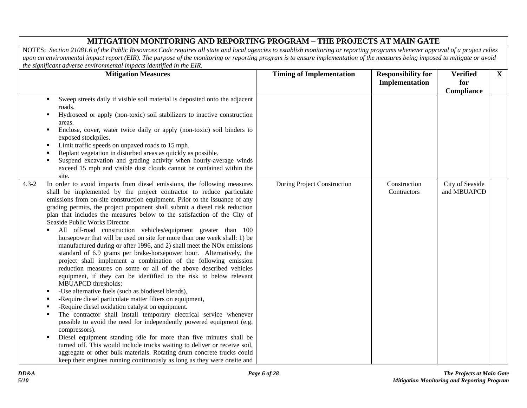| <b>Mitigation Measures</b>                                                                                                                                                                                                                                                                                                                                                                                                                                                                                                                                                                                                                                                                                                                                                                                                                                                                                                                                                                                                                                                                                                                                                                                                                                                                                                                                                                                                                                                                                                                                                                                                                     | <b>Timing of Implementation</b>    | <b>Responsibility for</b>   | <b>Verified</b>                | $\mathbf{X}$ |
|------------------------------------------------------------------------------------------------------------------------------------------------------------------------------------------------------------------------------------------------------------------------------------------------------------------------------------------------------------------------------------------------------------------------------------------------------------------------------------------------------------------------------------------------------------------------------------------------------------------------------------------------------------------------------------------------------------------------------------------------------------------------------------------------------------------------------------------------------------------------------------------------------------------------------------------------------------------------------------------------------------------------------------------------------------------------------------------------------------------------------------------------------------------------------------------------------------------------------------------------------------------------------------------------------------------------------------------------------------------------------------------------------------------------------------------------------------------------------------------------------------------------------------------------------------------------------------------------------------------------------------------------|------------------------------------|-----------------------------|--------------------------------|--------------|
|                                                                                                                                                                                                                                                                                                                                                                                                                                                                                                                                                                                                                                                                                                                                                                                                                                                                                                                                                                                                                                                                                                                                                                                                                                                                                                                                                                                                                                                                                                                                                                                                                                                |                                    | Implementation              | for                            |              |
|                                                                                                                                                                                                                                                                                                                                                                                                                                                                                                                                                                                                                                                                                                                                                                                                                                                                                                                                                                                                                                                                                                                                                                                                                                                                                                                                                                                                                                                                                                                                                                                                                                                |                                    |                             | Compliance                     |              |
| Sweep streets daily if visible soil material is deposited onto the adjacent<br>٠<br>roads.<br>Hydroseed or apply (non-toxic) soil stabilizers to inactive construction<br>٠<br>areas.<br>Enclose, cover, water twice daily or apply (non-toxic) soil binders to<br>٠                                                                                                                                                                                                                                                                                                                                                                                                                                                                                                                                                                                                                                                                                                                                                                                                                                                                                                                                                                                                                                                                                                                                                                                                                                                                                                                                                                           |                                    |                             |                                |              |
| exposed stockpiles.<br>Limit traffic speeds on unpaved roads to 15 mph.<br>٠<br>Replant vegetation in disturbed areas as quickly as possible.<br>Suspend excavation and grading activity when hourly-average winds<br>exceed 15 mph and visible dust clouds cannot be contained within the<br>site.                                                                                                                                                                                                                                                                                                                                                                                                                                                                                                                                                                                                                                                                                                                                                                                                                                                                                                                                                                                                                                                                                                                                                                                                                                                                                                                                            |                                    |                             |                                |              |
| In order to avoid impacts from diesel emissions, the following measures<br>$4.3 - 2$<br>shall be implemented by the project contractor to reduce particulate<br>emissions from on-site construction equipment. Prior to the issuance of any<br>grading permits, the project proponent shall submit a diesel risk reduction<br>plan that includes the measures below to the satisfaction of the City of<br>Seaside Public Works Director.<br>All off-road construction vehicles/equipment greater than 100<br>horsepower that will be used on site for more than one week shall: 1) be<br>manufactured during or after 1996, and 2) shall meet the NO <sub>x</sub> emissions<br>standard of 6.9 grams per brake-horsepower hour. Alternatively, the<br>project shall implement a combination of the following emission<br>reduction measures on some or all of the above described vehicles<br>equipment, if they can be identified to the risk to below relevant<br>MBUAPCD thresholds:<br>-Use alternative fuels (such as biodiesel blends),<br>٠<br>-Require diesel particulate matter filters on equipment,<br>-Require diesel oxidation catalyst on equipment.<br>The contractor shall install temporary electrical service whenever<br>possible to avoid the need for independently powered equipment (e.g.<br>compressors).<br>Diesel equipment standing idle for more than five minutes shall be<br>٠<br>turned off. This would include trucks waiting to deliver or receive soil,<br>aggregate or other bulk materials. Rotating drum concrete trucks could<br>keep their engines running continuously as long as they were onsite and | <b>During Project Construction</b> | Construction<br>Contractors | City of Seaside<br>and MBUAPCD |              |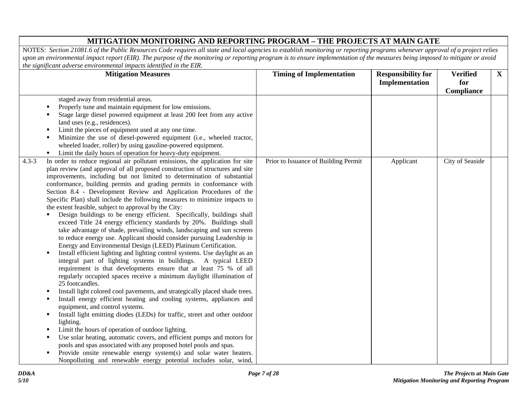| <b>Mitigation Measures</b>                                                                                                                                                                                                                                                                                                                                                                                                                                                                                                                                                                                                                                                                                                                                                                                                                                                                                                                                                                                                                                                                                                                                                                                                                                                                                                                                                                                                                                                                                                                                                                                                                                                                                                                                                                                                                                                               | <b>Timing of Implementation</b>      | <b>Responsibility for</b> | <b>Verified</b>   | $\mathbf{X}$ |
|------------------------------------------------------------------------------------------------------------------------------------------------------------------------------------------------------------------------------------------------------------------------------------------------------------------------------------------------------------------------------------------------------------------------------------------------------------------------------------------------------------------------------------------------------------------------------------------------------------------------------------------------------------------------------------------------------------------------------------------------------------------------------------------------------------------------------------------------------------------------------------------------------------------------------------------------------------------------------------------------------------------------------------------------------------------------------------------------------------------------------------------------------------------------------------------------------------------------------------------------------------------------------------------------------------------------------------------------------------------------------------------------------------------------------------------------------------------------------------------------------------------------------------------------------------------------------------------------------------------------------------------------------------------------------------------------------------------------------------------------------------------------------------------------------------------------------------------------------------------------------------------|--------------------------------------|---------------------------|-------------------|--------------|
|                                                                                                                                                                                                                                                                                                                                                                                                                                                                                                                                                                                                                                                                                                                                                                                                                                                                                                                                                                                                                                                                                                                                                                                                                                                                                                                                                                                                                                                                                                                                                                                                                                                                                                                                                                                                                                                                                          |                                      | Implementation            | for<br>Compliance |              |
| staged away from residential areas.<br>Properly tune and maintain equipment for low emissions.<br>Stage large diesel powered equipment at least 200 feet from any active<br>land uses (e.g., residences).<br>Limit the pieces of equipment used at any one time.<br>٠<br>Minimize the use of diesel-powered equipment (i.e., wheeled tractor,<br>wheeled loader, roller) by using gasoline-powered equipment.<br>Limit the daily hours of operation for heavy-duty equipment.<br>٠                                                                                                                                                                                                                                                                                                                                                                                                                                                                                                                                                                                                                                                                                                                                                                                                                                                                                                                                                                                                                                                                                                                                                                                                                                                                                                                                                                                                       |                                      |                           |                   |              |
| In order to reduce regional air pollutant emissions, the application for site<br>$4.3 - 3$<br>plan review (and approval of all proposed construction of structures and site<br>improvements, including but not limited to determination of substantial<br>conformance, building permits and grading permits in conformance with<br>Section 8.4 - Development Review and Application Procedures of the<br>Specific Plan) shall include the following measures to minimize impacts to<br>the extent feasible, subject to approval by the City:<br>Design buildings to be energy efficient. Specifically, buildings shall<br>exceed Title 24 energy efficiency standards by 20%. Buildings shall<br>take advantage of shade, prevailing winds, landscaping and sun screens<br>to reduce energy use. Applicant should consider pursuing Leadership in<br>Energy and Environmental Design (LEED) Platinum Certification.<br>Install efficient lighting and lighting control systems. Use daylight as an<br>٠<br>integral part of lighting systems in buildings. A typical LEED<br>requirement is that developments ensure that at least 75 % of all<br>regularly occupied spaces receive a minimum daylight illumination of<br>25 footcandles.<br>Install light colored cool pavements, and strategically placed shade trees.<br>Install energy efficient heating and cooling systems, appliances and<br>п<br>equipment, and control systems.<br>Install light emitting diodes (LEDs) for traffic, street and other outdoor<br>lighting.<br>Limit the hours of operation of outdoor lighting.<br>Use solar heating, automatic covers, and efficient pumps and motors for<br>pools and spas associated with any proposed hotel pools and spas.<br>Provide onsite renewable energy system(s) and solar water heaters.<br>٠<br>Nonpolluting and renewable energy potential includes solar, wind, | Prior to Issuance of Building Permit | Applicant                 | City of Seaside   |              |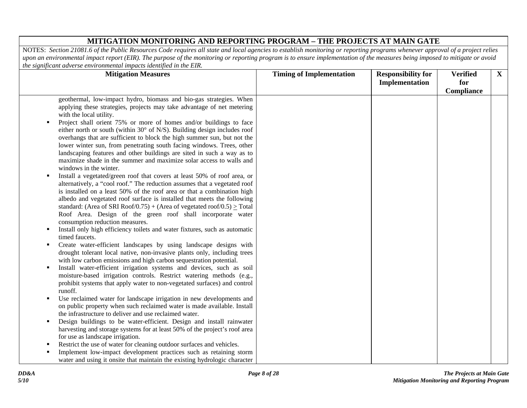| <b>Mitigation Measures</b>                                                                                                                                                                                                                                                                                                                                                                                                                                                                         | <b>Timing of Implementation</b> | <b>Responsibility for</b><br>Implementation | <b>Verified</b><br>for<br>Compliance | $\mathbf{X}$ |
|----------------------------------------------------------------------------------------------------------------------------------------------------------------------------------------------------------------------------------------------------------------------------------------------------------------------------------------------------------------------------------------------------------------------------------------------------------------------------------------------------|---------------------------------|---------------------------------------------|--------------------------------------|--------------|
| geothermal, low-impact hydro, biomass and bio-gas strategies. When<br>applying these strategies, projects may take advantage of net metering<br>with the local utility.                                                                                                                                                                                                                                                                                                                            |                                 |                                             |                                      |              |
| Project shall orient 75% or more of homes and/or buildings to face<br>٠<br>either north or south (within $30^{\circ}$ of N/S). Building design includes roof<br>overhangs that are sufficient to block the high summer sun, but not the<br>lower winter sun, from penetrating south facing windows. Trees, other<br>landscaping features and other buildings are sited in such a way as to<br>maximize shade in the summer and maximize solar access to walls and<br>windows in the winter.        |                                 |                                             |                                      |              |
| Install a vegetated/green roof that covers at least 50% of roof area, or<br>٠<br>alternatively, a "cool roof." The reduction assumes that a vegetated roof<br>is installed on a least 50% of the roof area or that a combination high<br>albedo and vegetated roof surface is installed that meets the following<br>standard: (Area of SRI Roof/0.75) + (Area of vegetated roof/0.5) $\ge$ Total<br>Roof Area. Design of the green roof shall incorporate water<br>consumption reduction measures. |                                 |                                             |                                      |              |
| Install only high efficiency toilets and water fixtures, such as automatic<br>٠<br>timed faucets.                                                                                                                                                                                                                                                                                                                                                                                                  |                                 |                                             |                                      |              |
| Create water-efficient landscapes by using landscape designs with<br>٠<br>drought tolerant local native, non-invasive plants only, including trees<br>with low carbon emissions and high carbon sequestration potential.                                                                                                                                                                                                                                                                           |                                 |                                             |                                      |              |
| Install water-efficient irrigation systems and devices, such as soil<br>п<br>moisture-based irrigation controls. Restrict watering methods (e.g.,<br>prohibit systems that apply water to non-vegetated surfaces) and control<br>runoff.                                                                                                                                                                                                                                                           |                                 |                                             |                                      |              |
| Use reclaimed water for landscape irrigation in new developments and<br>٠<br>on public property when such reclaimed water is made available. Install<br>the infrastructure to deliver and use reclaimed water.                                                                                                                                                                                                                                                                                     |                                 |                                             |                                      |              |
| Design buildings to be water-efficient. Design and install rainwater<br>٠<br>harvesting and storage systems for at least 50% of the project's roof area<br>for use as landscape irrigation.                                                                                                                                                                                                                                                                                                        |                                 |                                             |                                      |              |
| Restrict the use of water for cleaning outdoor surfaces and vehicles.                                                                                                                                                                                                                                                                                                                                                                                                                              |                                 |                                             |                                      |              |
| Implement low-impact development practices such as retaining storm<br>water and using it onsite that maintain the existing hydrologic character                                                                                                                                                                                                                                                                                                                                                    |                                 |                                             |                                      |              |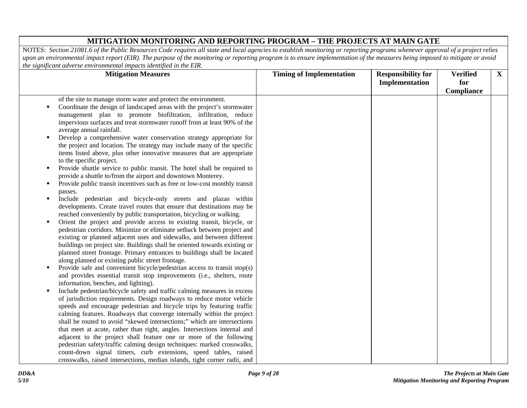| <b>Mitigation Measures</b>                                                                                                                                                                                                                                                                                                                                                                                                                                                                                                                                                                                                                                                                                                                                                                                                                                                                                                                                                                                                                                                                                                                                                                                                                                                                                                                                                                                                                                                                                                                                                                                                                                                                                                                                                                                                                                                                                                                                                                                                                                                                                                                                                                                                                                                                                                                | <b>Timing of Implementation</b> | <b>Responsibility for</b> | <b>Verified</b> | $\mathbf{X}$ |
|-------------------------------------------------------------------------------------------------------------------------------------------------------------------------------------------------------------------------------------------------------------------------------------------------------------------------------------------------------------------------------------------------------------------------------------------------------------------------------------------------------------------------------------------------------------------------------------------------------------------------------------------------------------------------------------------------------------------------------------------------------------------------------------------------------------------------------------------------------------------------------------------------------------------------------------------------------------------------------------------------------------------------------------------------------------------------------------------------------------------------------------------------------------------------------------------------------------------------------------------------------------------------------------------------------------------------------------------------------------------------------------------------------------------------------------------------------------------------------------------------------------------------------------------------------------------------------------------------------------------------------------------------------------------------------------------------------------------------------------------------------------------------------------------------------------------------------------------------------------------------------------------------------------------------------------------------------------------------------------------------------------------------------------------------------------------------------------------------------------------------------------------------------------------------------------------------------------------------------------------------------------------------------------------------------------------------------------------|---------------------------------|---------------------------|-----------------|--------------|
|                                                                                                                                                                                                                                                                                                                                                                                                                                                                                                                                                                                                                                                                                                                                                                                                                                                                                                                                                                                                                                                                                                                                                                                                                                                                                                                                                                                                                                                                                                                                                                                                                                                                                                                                                                                                                                                                                                                                                                                                                                                                                                                                                                                                                                                                                                                                           |                                 | Implementation            | for             |              |
|                                                                                                                                                                                                                                                                                                                                                                                                                                                                                                                                                                                                                                                                                                                                                                                                                                                                                                                                                                                                                                                                                                                                                                                                                                                                                                                                                                                                                                                                                                                                                                                                                                                                                                                                                                                                                                                                                                                                                                                                                                                                                                                                                                                                                                                                                                                                           |                                 |                           | Compliance      |              |
| of the site to manage storm water and protect the environment.<br>Coordinate the design of landscaped areas with the project's stormwater<br>٠<br>management plan to promote biofiltration, infiltration, reduce<br>impervious surfaces and treat stormwater runoff from at least 90% of the<br>average annual rainfall.<br>Develop a comprehensive water conservation strategy appropriate for<br>٠<br>the project and location. The strategy may include many of the specific<br>items listed above, plus other innovative measures that are appropriate<br>to the specific project.<br>Provide shuttle service to public transit. The hotel shall be required to<br>٠<br>provide a shuttle to/from the airport and downtown Monterey.<br>Provide public transit incentives such as free or low-cost monthly transit<br>٠<br>passes.<br>Include pedestrian and bicycle-only streets and plazas within<br>٠<br>developments. Create travel routes that ensure that destinations may be<br>reached conveniently by public transportation, bicycling or walking.<br>Orient the project and provide access to existing transit, bicycle, or<br>pedestrian corridors. Minimize or eliminate setback between project and<br>existing or planned adjacent uses and sidewalks, and between different<br>buildings on project site. Buildings shall be oriented towards existing or<br>planned street frontage. Primary entrances to buildings shall be located<br>along planned or existing public street frontage.<br>Provide safe and convenient bicycle/pedestrian access to transit stop(s)<br>п<br>and provides essential transit stop improvements (i.e., shelters, route<br>information, benches, and lighting).<br>Include pedestrian/bicycle safety and traffic calming measures in excess<br>п<br>of jurisdiction requirements. Design roadways to reduce motor vehicle<br>speeds and encourage pedestrian and bicycle trips by featuring traffic<br>calming features. Roadways that converge internally within the project<br>shall be routed to avoid "skewed intersections;" which are intersections<br>that meet at acute, rather than right, angles. Intersections internal and<br>adjacent to the project shall feature one or more of the following<br>pedestrian safety/traffic calming design techniques: marked crosswalks, |                                 |                           |                 |              |
| count-down signal timers, curb extensions, speed tables, raised                                                                                                                                                                                                                                                                                                                                                                                                                                                                                                                                                                                                                                                                                                                                                                                                                                                                                                                                                                                                                                                                                                                                                                                                                                                                                                                                                                                                                                                                                                                                                                                                                                                                                                                                                                                                                                                                                                                                                                                                                                                                                                                                                                                                                                                                           |                                 |                           |                 |              |
| crosswalks, raised intersections, median islands, tight corner radii, and                                                                                                                                                                                                                                                                                                                                                                                                                                                                                                                                                                                                                                                                                                                                                                                                                                                                                                                                                                                                                                                                                                                                                                                                                                                                                                                                                                                                                                                                                                                                                                                                                                                                                                                                                                                                                                                                                                                                                                                                                                                                                                                                                                                                                                                                 |                                 |                           |                 |              |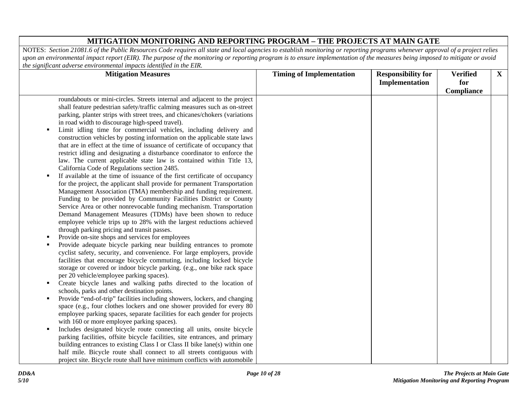| nic significant aarerse christomhemat impacts achtifica in me <b>211</b> .<br><b>Mitigation Measures</b>                                                                                                                                                                                                                                                                                                                                                                                                                                                                                                                                                                                                                                                                                                                                                                                                                                                                                                                                                                                                                                                                                                                                                                                                                                                                                                                                                                                                                                                                                                                                                                                                                                                                                                                                                                                                                                         | <b>Timing of Implementation</b> | <b>Responsibility for</b><br>Implementation | <b>Verified</b><br>for | $\mathbf{X}$ |
|--------------------------------------------------------------------------------------------------------------------------------------------------------------------------------------------------------------------------------------------------------------------------------------------------------------------------------------------------------------------------------------------------------------------------------------------------------------------------------------------------------------------------------------------------------------------------------------------------------------------------------------------------------------------------------------------------------------------------------------------------------------------------------------------------------------------------------------------------------------------------------------------------------------------------------------------------------------------------------------------------------------------------------------------------------------------------------------------------------------------------------------------------------------------------------------------------------------------------------------------------------------------------------------------------------------------------------------------------------------------------------------------------------------------------------------------------------------------------------------------------------------------------------------------------------------------------------------------------------------------------------------------------------------------------------------------------------------------------------------------------------------------------------------------------------------------------------------------------------------------------------------------------------------------------------------------------|---------------------------------|---------------------------------------------|------------------------|--------------|
| roundabouts or mini-circles. Streets internal and adjacent to the project<br>shall feature pedestrian safety/traffic calming measures such as on-street<br>parking, planter strips with street trees, and chicanes/chokers (variations<br>in road width to discourage high-speed travel).<br>Limit idling time for commercial vehicles, including delivery and<br>٠<br>construction vehicles by posting information on the applicable state laws<br>that are in effect at the time of issuance of certificate of occupancy that<br>restrict idling and designating a disturbance coordinator to enforce the<br>law. The current applicable state law is contained within Title 13,<br>California Code of Regulations section 2485.<br>If available at the time of issuance of the first certificate of occupancy<br>٠<br>for the project, the applicant shall provide for permanent Transportation<br>Management Association (TMA) membership and funding requirement.<br>Funding to be provided by Community Facilities District or County<br>Service Area or other nonrevocable funding mechanism. Transportation<br>Demand Management Measures (TDMs) have been shown to reduce<br>employee vehicle trips up to 28% with the largest reductions achieved<br>through parking pricing and transit passes.<br>Provide on-site shops and services for employees<br>Provide adequate bicycle parking near building entrances to promote<br>٠<br>cyclist safety, security, and convenience. For large employers, provide<br>facilities that encourage bicycle commuting, including locked bicycle<br>storage or covered or indoor bicycle parking. (e.g., one bike rack space<br>per 20 vehicle/employee parking spaces).<br>Create bicycle lanes and walking paths directed to the location of<br>$\blacksquare$<br>schools, parks and other destination points.<br>Provide "end-of-trip" facilities including showers, lockers, and changing<br>٠ |                                 |                                             | Compliance             |              |
| space (e.g., four clothes lockers and one shower provided for every 80<br>employee parking spaces, separate facilities for each gender for projects<br>with 160 or more employee parking spaces).                                                                                                                                                                                                                                                                                                                                                                                                                                                                                                                                                                                                                                                                                                                                                                                                                                                                                                                                                                                                                                                                                                                                                                                                                                                                                                                                                                                                                                                                                                                                                                                                                                                                                                                                                |                                 |                                             |                        |              |
| Includes designated bicycle route connecting all units, onsite bicycle<br>п<br>parking facilities, offsite bicycle facilities, site entrances, and primary<br>building entrances to existing Class I or Class II bike lane(s) within one<br>half mile. Bicycle route shall connect to all streets contiguous with<br>project site. Bicycle route shall have minimum conflicts with automobile                                                                                                                                                                                                                                                                                                                                                                                                                                                                                                                                                                                                                                                                                                                                                                                                                                                                                                                                                                                                                                                                                                                                                                                                                                                                                                                                                                                                                                                                                                                                                    |                                 |                                             |                        |              |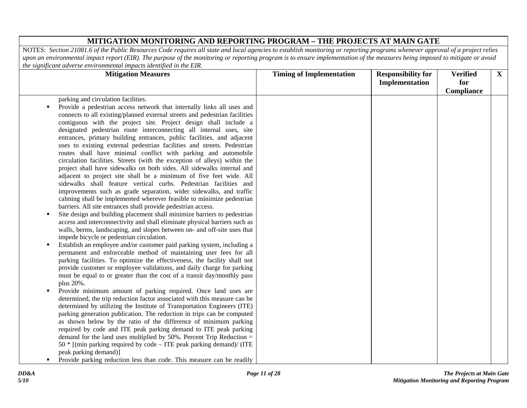| parking and circulation facilities.<br>Provide a pedestrian access network that internally links all uses and<br>п<br>connects to all existing/planned external streets and pedestrian facilities<br>contiguous with the project site. Project design shall include a<br>designated pedestrian route interconnecting all internal uses, site<br>entrances, primary building entrances, public facilities, and adjacent<br>uses to existing external pedestrian facilities and streets. Pedestrian<br>routes shall have minimal conflict with parking and automobile<br>circulation facilities. Streets (with the exception of alleys) within the<br>project shall have sidewalks on both sides. All sidewalks internal and<br>adjacent to project site shall be a minimum of five feet wide. All<br>sidewalks shall feature vertical curbs. Pedestrian facilities and<br>improvements such as grade separation, wider sidewalks, and traffic<br>calming shall be implemented wherever feasible to minimize pedestrian<br>barriers. All site entrances shall provide pedestrian access.<br>Site design and building placement shall minimize barriers to pedestrian<br>п<br>access and interconnectivity and shall eliminate physical barriers such as<br>walls, berms, landscaping, and slopes between on- and off-site uses that<br>impede bicycle or pedestrian circulation.<br>Establish an employee and/or customer paid parking system, including a<br>٠<br>permanent and enforceable method of maintaining user fees for all<br>parking facilities. To optimize the effectiveness, the facility shall not<br>provide customer or employee validations, and daily charge for parking<br>must be equal to or greater than the cost of a transit day/monthly pass<br>plus 20%.<br>Provide minimum amount of parking required. Once land uses are<br>٠<br>determined, the trip reduction factor associated with this measure can be<br>determined by utilizing the Institute of Transportation Engineers (ITE)<br>parking generation publication. The reduction in trips can be computed<br>as shown below by the ratio of the difference of minimum parking<br>required by code and ITE peak parking demand to ITE peak parking<br>demand for the land uses multiplied by $50\%$ . Percent Trip Reduction =<br>$50 *$ [(min parking required by code – ITE peak parking demand)/ (ITE | the significant aurerse christomhematical impacts tachington in the <b>Birt</b> .<br><b>Mitigation Measures</b> | <b>Timing of Implementation</b> | <b>Responsibility for</b><br>Implementation | <b>Verified</b><br>for<br>Compliance | $\mathbf{X}$ |
|------------------------------------------------------------------------------------------------------------------------------------------------------------------------------------------------------------------------------------------------------------------------------------------------------------------------------------------------------------------------------------------------------------------------------------------------------------------------------------------------------------------------------------------------------------------------------------------------------------------------------------------------------------------------------------------------------------------------------------------------------------------------------------------------------------------------------------------------------------------------------------------------------------------------------------------------------------------------------------------------------------------------------------------------------------------------------------------------------------------------------------------------------------------------------------------------------------------------------------------------------------------------------------------------------------------------------------------------------------------------------------------------------------------------------------------------------------------------------------------------------------------------------------------------------------------------------------------------------------------------------------------------------------------------------------------------------------------------------------------------------------------------------------------------------------------------------------------------------------------------------------------------------------------------------------------------------------------------------------------------------------------------------------------------------------------------------------------------------------------------------------------------------------------------------------------------------------------------------------------------------------------------------------------------------------------------------------------------------------------------------------------|-----------------------------------------------------------------------------------------------------------------|---------------------------------|---------------------------------------------|--------------------------------------|--------------|
| Provide parking reduction less than code. This measure can be readily<br>п                                                                                                                                                                                                                                                                                                                                                                                                                                                                                                                                                                                                                                                                                                                                                                                                                                                                                                                                                                                                                                                                                                                                                                                                                                                                                                                                                                                                                                                                                                                                                                                                                                                                                                                                                                                                                                                                                                                                                                                                                                                                                                                                                                                                                                                                                                               | peak parking demand)]                                                                                           |                                 |                                             |                                      |              |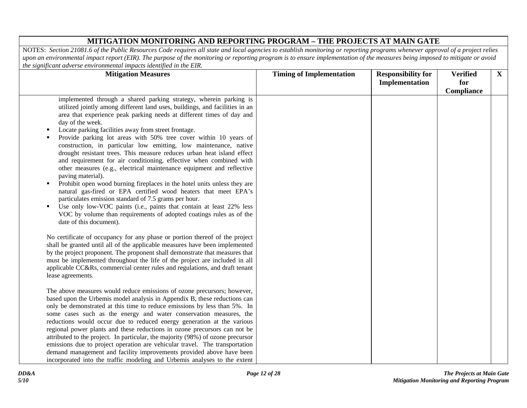| me sixhijiedhi daverse environmental impaels laenijied in me <b>E</b> nta<br><b>Mitigation Measures</b>                                                                                                                                                                                                                                                                                                                                                                                                                                                                                                                                                                                                                                                                                                                                                                                                                                                                                                                                                                                               | <b>Timing of Implementation</b> | <b>Responsibility for</b><br>Implementation | <b>Verified</b><br>for<br>Compliance | $\mathbf{X}$ |
|-------------------------------------------------------------------------------------------------------------------------------------------------------------------------------------------------------------------------------------------------------------------------------------------------------------------------------------------------------------------------------------------------------------------------------------------------------------------------------------------------------------------------------------------------------------------------------------------------------------------------------------------------------------------------------------------------------------------------------------------------------------------------------------------------------------------------------------------------------------------------------------------------------------------------------------------------------------------------------------------------------------------------------------------------------------------------------------------------------|---------------------------------|---------------------------------------------|--------------------------------------|--------------|
| implemented through a shared parking strategy, wherein parking is<br>utilized jointly among different land uses, buildings, and facilities in an<br>area that experience peak parking needs at different times of day and<br>day of the week.<br>Locate parking facilities away from street frontage.<br>٠<br>Provide parking lot areas with 50% tree cover within 10 years of<br>construction, in particular low emitting, low maintenance, native<br>drought resistant trees. This measure reduces urban heat island effect<br>and requirement for air conditioning, effective when combined with<br>other measures (e.g., electrical maintenance equipment and reflective<br>paving material).<br>Prohibit open wood burning fireplaces in the hotel units unless they are<br>$\blacksquare$<br>natural gas-fired or EPA certified wood heaters that meet EPA's<br>particulates emission standard of 7.5 grams per hour.<br>Use only low-VOC paints (i.e., paints that contain at least 22% less<br>VOC by volume than requirements of adopted coatings rules as of the<br>date of this document). |                                 |                                             |                                      |              |
| No certificate of occupancy for any phase or portion thereof of the project<br>shall be granted until all of the applicable measures have been implemented<br>by the project proponent. The proponent shall demonstrate that measures that<br>must be implemented throughout the life of the project are included in all<br>applicable CC&Rs, commercial center rules and regulations, and draft tenant<br>lease agreements.                                                                                                                                                                                                                                                                                                                                                                                                                                                                                                                                                                                                                                                                          |                                 |                                             |                                      |              |
| The above measures would reduce emissions of ozone precursors; however,<br>based upon the Urbemis model analysis in Appendix B, these reductions can<br>only be demonstrated at this time to reduce emissions by less than 5%. In<br>some cases such as the energy and water conservation measures, the<br>reductions would occur due to reduced energy generation at the various<br>regional power plants and these reductions in ozone precursors can not be<br>attributed to the project. In particular, the majority (98%) of ozone precursor<br>emissions due to project operation are vehicular travel. The transportation<br>demand management and facility improvements provided above have been<br>incorporated into the traffic modeling and Urbemis analyses to the extent                                                                                                                                                                                                                                                                                                                 |                                 |                                             |                                      |              |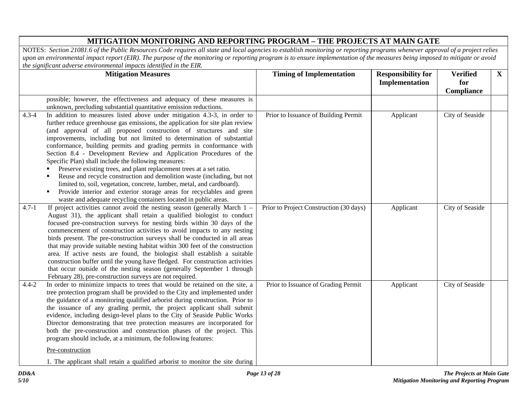|           | <b>Mitigation Measures</b>                                                                                                                                                                                                                                                                                                                                                                                                                                                                                                                                                                                                                                                                                                                                                                                                                                                                      | <b>Timing of Implementation</b>         | <b>Responsibility for</b><br>Implementation | <b>Verified</b><br>for<br>Compliance | $\mathbf{X}$ |
|-----------|-------------------------------------------------------------------------------------------------------------------------------------------------------------------------------------------------------------------------------------------------------------------------------------------------------------------------------------------------------------------------------------------------------------------------------------------------------------------------------------------------------------------------------------------------------------------------------------------------------------------------------------------------------------------------------------------------------------------------------------------------------------------------------------------------------------------------------------------------------------------------------------------------|-----------------------------------------|---------------------------------------------|--------------------------------------|--------------|
|           | possible; however, the effectiveness and adequacy of these measures is<br>unknown, precluding substantial quantitative emission reductions.                                                                                                                                                                                                                                                                                                                                                                                                                                                                                                                                                                                                                                                                                                                                                     |                                         |                                             |                                      |              |
| $4.3 - 4$ | In addition to measures listed above under mitigation 4.3-3, in order to<br>further reduce greenhouse gas emissions, the application for site plan review<br>(and approval of all proposed construction of structures and site<br>improvements, including but not limited to determination of substantial<br>conformance, building permits and grading permits in conformance with<br>Section 8.4 - Development Review and Application Procedures of the<br>Specific Plan) shall include the following measures:<br>Preserve existing trees, and plant replacement trees at a set ratio.<br>Reuse and recycle construction and demolition waste (including, but not<br>limited to, soil, vegetation, concrete, lumber, metal, and cardboard).<br>Provide interior and exterior storage areas for recyclables and green<br>٠<br>waste and adequate recycling containers located in public areas. | Prior to Issuance of Building Permit    | Applicant                                   | City of Seaside                      |              |
| $4.7 - 1$ | If project activities cannot avoid the nesting season (generally March $1 -$<br>August 31), the applicant shall retain a qualified biologist to conduct<br>focused pre-construction surveys for nesting birds within 30 days of the<br>commencement of construction activities to avoid impacts to any nesting<br>birds present. The pre-construction surveys shall be conducted in all areas<br>that may provide suitable nesting habitat within 300 feet of the construction<br>area. If active nests are found, the biologist shall establish a suitable<br>construction buffer until the young have fledged. For construction activities<br>that occur outside of the nesting season (generally September 1 through<br>February 28), pre-construction surveys are not required.                                                                                                             | Prior to Project Construction (30 days) | Applicant                                   | City of Seaside                      |              |
| $4.4 - 2$ | In order to minimize impacts to trees that would be retained on the site, a<br>tree protection program shall be provided to the City and implemented under<br>the guidance of a monitoring qualified arborist during construction. Prior to<br>the issuance of any grading permit, the project applicant shall submit<br>evidence, including design-level plans to the City of Seaside Public Works<br>Director demonstrating that tree protection measures are incorporated for<br>both the pre-construction and construction phases of the project. This<br>program should include, at a minimum, the following features:<br>Pre-construction<br>1. The applicant shall retain a qualified arborist to monitor the site during                                                                                                                                                                | Prior to Issuance of Grading Permit     | Applicant                                   | City of Seaside                      |              |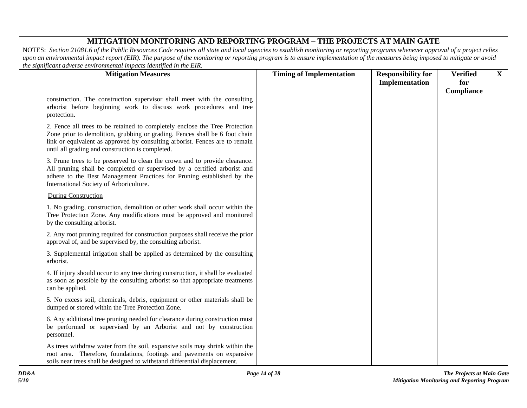| me sixumeum uuverse environmenuu impueis ulenimeu in me Liiv.<br><b>Mitigation Measures</b>                                                                                                                                                                                                   | <b>Timing of Implementation</b> | <b>Responsibility for</b><br>Implementation | <b>Verified</b><br>for | $\mathbf{X}$ |
|-----------------------------------------------------------------------------------------------------------------------------------------------------------------------------------------------------------------------------------------------------------------------------------------------|---------------------------------|---------------------------------------------|------------------------|--------------|
| construction. The construction supervisor shall meet with the consulting<br>arborist before beginning work to discuss work procedures and tree<br>protection.                                                                                                                                 |                                 |                                             | Compliance             |              |
| 2. Fence all trees to be retained to completely enclose the Tree Protection<br>Zone prior to demolition, grubbing or grading. Fences shall be 6 foot chain<br>link or equivalent as approved by consulting arborist. Fences are to remain<br>until all grading and construction is completed. |                                 |                                             |                        |              |
| 3. Prune trees to be preserved to clean the crown and to provide clearance.<br>All pruning shall be completed or supervised by a certified arborist and<br>adhere to the Best Management Practices for Pruning established by the<br>International Society of Arboriculture.                  |                                 |                                             |                        |              |
| <b>During Construction</b>                                                                                                                                                                                                                                                                    |                                 |                                             |                        |              |
| 1. No grading, construction, demolition or other work shall occur within the<br>Tree Protection Zone. Any modifications must be approved and monitored<br>by the consulting arborist.                                                                                                         |                                 |                                             |                        |              |
| 2. Any root pruning required for construction purposes shall receive the prior<br>approval of, and be supervised by, the consulting arborist.                                                                                                                                                 |                                 |                                             |                        |              |
| 3. Supplemental irrigation shall be applied as determined by the consulting<br>arborist.                                                                                                                                                                                                      |                                 |                                             |                        |              |
| 4. If injury should occur to any tree during construction, it shall be evaluated<br>as soon as possible by the consulting arborist so that appropriate treatments<br>can be applied.                                                                                                          |                                 |                                             |                        |              |
| 5. No excess soil, chemicals, debris, equipment or other materials shall be<br>dumped or stored within the Tree Protection Zone.                                                                                                                                                              |                                 |                                             |                        |              |
| 6. Any additional tree pruning needed for clearance during construction must<br>be performed or supervised by an Arborist and not by construction<br>personnel.                                                                                                                               |                                 |                                             |                        |              |
| As trees withdraw water from the soil, expansive soils may shrink within the<br>root area. Therefore, foundations, footings and pavements on expansive<br>soils near trees shall be designed to withstand differential displacement.                                                          |                                 |                                             |                        |              |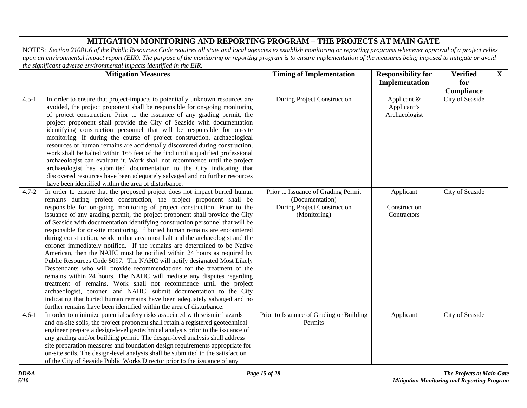|           | <b>Mitigation Measures</b>                                                                                                                                                                                                                                                                                                                                                                                                                                                                                                                                                                                                                                                                                                                                                                                                                                                                                                                                                                                                                                                                                                                                                                                                                          | <b>Timing of Implementation</b>                                                                       | <b>Responsibility for</b>                   | <b>Verified</b> | $\mathbf{X}$ |
|-----------|-----------------------------------------------------------------------------------------------------------------------------------------------------------------------------------------------------------------------------------------------------------------------------------------------------------------------------------------------------------------------------------------------------------------------------------------------------------------------------------------------------------------------------------------------------------------------------------------------------------------------------------------------------------------------------------------------------------------------------------------------------------------------------------------------------------------------------------------------------------------------------------------------------------------------------------------------------------------------------------------------------------------------------------------------------------------------------------------------------------------------------------------------------------------------------------------------------------------------------------------------------|-------------------------------------------------------------------------------------------------------|---------------------------------------------|-----------------|--------------|
|           |                                                                                                                                                                                                                                                                                                                                                                                                                                                                                                                                                                                                                                                                                                                                                                                                                                                                                                                                                                                                                                                                                                                                                                                                                                                     |                                                                                                       | Implementation                              | for             |              |
|           |                                                                                                                                                                                                                                                                                                                                                                                                                                                                                                                                                                                                                                                                                                                                                                                                                                                                                                                                                                                                                                                                                                                                                                                                                                                     |                                                                                                       |                                             | Compliance      |              |
| $4.5 - 1$ | In order to ensure that project-impacts to potentially unknown resources are<br>avoided, the project proponent shall be responsible for on-going monitoring<br>of project construction. Prior to the issuance of any grading permit, the<br>project proponent shall provide the City of Seaside with documentation<br>identifying construction personnel that will be responsible for on-site<br>monitoring. If during the course of project construction, archaeological<br>resources or human remains are accidentally discovered during construction,<br>work shall be halted within 165 feet of the find until a qualified professional<br>archaeologist can evaluate it. Work shall not recommence until the project<br>archaeologist has submitted documentation to the City indicating that<br>discovered resources have been adequately salvaged and no further resources<br>have been identified within the area of disturbance.                                                                                                                                                                                                                                                                                                           | <b>During Project Construction</b>                                                                    | Applicant &<br>Applicant's<br>Archaeologist | City of Seaside |              |
| $4.7 - 2$ | In order to ensure that the proposed project does not impact buried human<br>remains during project construction, the project proponent shall be<br>responsible for on-going monitoring of project construction. Prior to the<br>issuance of any grading permit, the project proponent shall provide the City<br>of Seaside with documentation identifying construction personnel that will be<br>responsible for on-site monitoring. If buried human remains are encountered<br>during construction, work in that area must halt and the archaeologist and the<br>coroner immediately notified. If the remains are determined to be Native<br>American, then the NAHC must be notified within 24 hours as required by<br>Public Resources Code 5097. The NAHC will notify designated Most Likely<br>Descendants who will provide recommendations for the treatment of the<br>remains within 24 hours. The NAHC will mediate any disputes regarding<br>treatment of remains. Work shall not recommence until the project<br>archaeologist, coroner, and NAHC, submit documentation to the City<br>indicating that buried human remains have been adequately salvaged and no<br>further remains have been identified within the area of disturbance. | Prior to Issuance of Grading Permit<br>(Documentation)<br>During Project Construction<br>(Monitoring) | Applicant<br>Construction<br>Contractors    | City of Seaside |              |
| $4.6 - 1$ | In order to minimize potential safety risks associated with seismic hazards<br>and on-site soils, the project proponent shall retain a registered geotechnical<br>engineer prepare a design-level geotechnical analysis prior to the issuance of<br>any grading and/or building permit. The design-level analysis shall address<br>site preparation measures and foundation design requirements appropriate for<br>on-site soils. The design-level analysis shall be submitted to the satisfaction<br>of the City of Seaside Public Works Director prior to the issuance of any                                                                                                                                                                                                                                                                                                                                                                                                                                                                                                                                                                                                                                                                     | Prior to Issuance of Grading or Building<br>Permits                                                   | Applicant                                   | City of Seaside |              |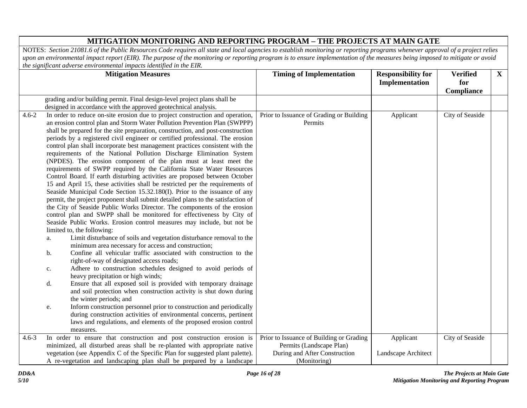|           |    | <b>Mitigation Measures</b>                                                                                                                                       | <b>Timing of Implementation</b>          | <b>Responsibility for</b> | <b>Verified</b> | $\mathbf{X}$ |
|-----------|----|------------------------------------------------------------------------------------------------------------------------------------------------------------------|------------------------------------------|---------------------------|-----------------|--------------|
|           |    |                                                                                                                                                                  |                                          | Implementation            | for             |              |
|           |    |                                                                                                                                                                  |                                          |                           | Compliance      |              |
|           |    | grading and/or building permit. Final design-level project plans shall be                                                                                        |                                          |                           |                 |              |
|           |    | designed in accordance with the approved geotechnical analysis.                                                                                                  |                                          |                           |                 |              |
| $4.6 - 2$ |    | In order to reduce on-site erosion due to project construction and operation,                                                                                    | Prior to Issuance of Grading or Building | Applicant                 | City of Seaside |              |
|           |    | an erosion control plan and Storm Water Pollution Prevention Plan (SWPPP)                                                                                        | Permits                                  |                           |                 |              |
|           |    | shall be prepared for the site preparation, construction, and post-construction<br>periods by a registered civil engineer or certified professional. The erosion |                                          |                           |                 |              |
|           |    | control plan shall incorporate best management practices consistent with the                                                                                     |                                          |                           |                 |              |
|           |    | requirements of the National Pollution Discharge Elimination System                                                                                              |                                          |                           |                 |              |
|           |    | (NPDES). The erosion component of the plan must at least meet the                                                                                                |                                          |                           |                 |              |
|           |    | requirements of SWPP required by the California State Water Resources                                                                                            |                                          |                           |                 |              |
|           |    | Control Board. If earth disturbing activities are proposed between October                                                                                       |                                          |                           |                 |              |
|           |    | 15 and April 15, these activities shall be restricted per the requirements of                                                                                    |                                          |                           |                 |              |
|           |    | Seaside Municipal Code Section 15.32.180(I). Prior to the issuance of any                                                                                        |                                          |                           |                 |              |
|           |    | permit, the project proponent shall submit detailed plans to the satisfaction of                                                                                 |                                          |                           |                 |              |
|           |    | the City of Seaside Public Works Director. The components of the erosion                                                                                         |                                          |                           |                 |              |
|           |    | control plan and SWPP shall be monitored for effectiveness by City of                                                                                            |                                          |                           |                 |              |
|           |    | Seaside Public Works. Erosion control measures may include, but not be                                                                                           |                                          |                           |                 |              |
|           |    | limited to, the following:                                                                                                                                       |                                          |                           |                 |              |
|           | a. | Limit disturbance of soils and vegetation disturbance removal to the                                                                                             |                                          |                           |                 |              |
|           |    | minimum area necessary for access and construction;                                                                                                              |                                          |                           |                 |              |
|           | b. | Confine all vehicular traffic associated with construction to the                                                                                                |                                          |                           |                 |              |
|           |    | right-of-way of designated access roads;                                                                                                                         |                                          |                           |                 |              |
|           | c. | Adhere to construction schedules designed to avoid periods of                                                                                                    |                                          |                           |                 |              |
|           |    | heavy precipitation or high winds;<br>Ensure that all exposed soil is provided with temporary drainage                                                           |                                          |                           |                 |              |
|           | d. | and soil protection when construction activity is shut down during                                                                                               |                                          |                           |                 |              |
|           |    | the winter periods; and                                                                                                                                          |                                          |                           |                 |              |
|           | e. | Inform construction personnel prior to construction and periodically                                                                                             |                                          |                           |                 |              |
|           |    | during construction activities of environmental concerns, pertinent                                                                                              |                                          |                           |                 |              |
|           |    | laws and regulations, and elements of the proposed erosion control                                                                                               |                                          |                           |                 |              |
|           |    | measures.                                                                                                                                                        |                                          |                           |                 |              |
| $4.6 - 3$ |    | In order to ensure that construction and post construction erosion is                                                                                            | Prior to Issuance of Building or Grading | Applicant                 | City of Seaside |              |
|           |    | minimized, all disturbed areas shall be re-planted with appropriate native                                                                                       | Permits (Landscape Plan)                 |                           |                 |              |
|           |    | vegetation (see Appendix C of the Specific Plan for suggested plant palette).                                                                                    | During and After Construction            | Landscape Architect       |                 |              |
|           |    | A re-vegetation and landscaping plan shall be prepared by a landscape                                                                                            | (Monitoring)                             |                           |                 |              |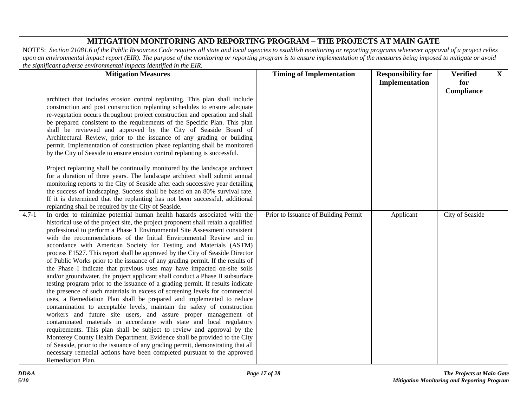| <b>Mitigation Measures</b>                                                                                                                                                                                                                                                                                                                                                                                                                                                                                                                                                                                                                                                                                                                                                                                                                                                                                                                                                                                                                                                                                                                                                                                                                                                                                                                                                                                                                                                                                                                                                                                                                                                                                                                                                                                                                                                                                                                                                                                   | <b>Timing of Implementation</b>      | <b>Responsibility for</b><br>Implementation | <b>Verified</b><br>for        | $\mathbf{X}$ |
|--------------------------------------------------------------------------------------------------------------------------------------------------------------------------------------------------------------------------------------------------------------------------------------------------------------------------------------------------------------------------------------------------------------------------------------------------------------------------------------------------------------------------------------------------------------------------------------------------------------------------------------------------------------------------------------------------------------------------------------------------------------------------------------------------------------------------------------------------------------------------------------------------------------------------------------------------------------------------------------------------------------------------------------------------------------------------------------------------------------------------------------------------------------------------------------------------------------------------------------------------------------------------------------------------------------------------------------------------------------------------------------------------------------------------------------------------------------------------------------------------------------------------------------------------------------------------------------------------------------------------------------------------------------------------------------------------------------------------------------------------------------------------------------------------------------------------------------------------------------------------------------------------------------------------------------------------------------------------------------------------------------|--------------------------------------|---------------------------------------------|-------------------------------|--------------|
| architect that includes erosion control replanting. This plan shall include<br>construction and post construction replanting schedules to ensure adequate<br>re-vegetation occurs throughout project construction and operation and shall<br>be prepared consistent to the requirements of the Specific Plan. This plan<br>shall be reviewed and approved by the City of Seaside Board of<br>Architectural Review, prior to the issuance of any grading or building<br>permit. Implementation of construction phase replanting shall be monitored<br>by the City of Seaside to ensure erosion control replanting is successful.<br>Project replanting shall be continually monitored by the landscape architect<br>for a duration of three years. The landscape architect shall submit annual<br>monitoring reports to the City of Seaside after each successive year detailing<br>the success of landscaping. Success shall be based on an 80% survival rate.<br>If it is determined that the replanting has not been successful, additional<br>replanting shall be required by the City of Seaside.<br>In order to minimize potential human health hazards associated with the<br>$4.7 - 1$<br>historical use of the project site, the project proponent shall retain a qualified<br>professional to perform a Phase 1 Environmental Site Assessment consistent<br>with the recommendations of the Initial Environmental Review and in<br>accordance with American Society for Testing and Materials (ASTM)<br>process E1527. This report shall be approved by the City of Seaside Director<br>of Public Works prior to the issuance of any grading permit. If the results of<br>the Phase I indicate that previous uses may have impacted on-site soils<br>and/or groundwater, the project applicant shall conduct a Phase II subsurface<br>testing program prior to the issuance of a grading permit. If results indicate<br>the presence of such materials in excess of screening levels for commercial | Prior to Issuance of Building Permit | Applicant                                   | Compliance<br>City of Seaside |              |
| uses, a Remediation Plan shall be prepared and implemented to reduce<br>contamination to acceptable levels, maintain the safety of construction<br>workers and future site users, and assure proper management of<br>contaminated materials in accordance with state and local regulatory<br>requirements. This plan shall be subject to review and approval by the<br>Monterey County Health Department. Evidence shall be provided to the City                                                                                                                                                                                                                                                                                                                                                                                                                                                                                                                                                                                                                                                                                                                                                                                                                                                                                                                                                                                                                                                                                                                                                                                                                                                                                                                                                                                                                                                                                                                                                             |                                      |                                             |                               |              |
| of Seaside, prior to the issuance of any grading permit, demonstrating that all<br>necessary remedial actions have been completed pursuant to the approved<br>Remediation Plan.                                                                                                                                                                                                                                                                                                                                                                                                                                                                                                                                                                                                                                                                                                                                                                                                                                                                                                                                                                                                                                                                                                                                                                                                                                                                                                                                                                                                                                                                                                                                                                                                                                                                                                                                                                                                                              |                                      |                                             |                               |              |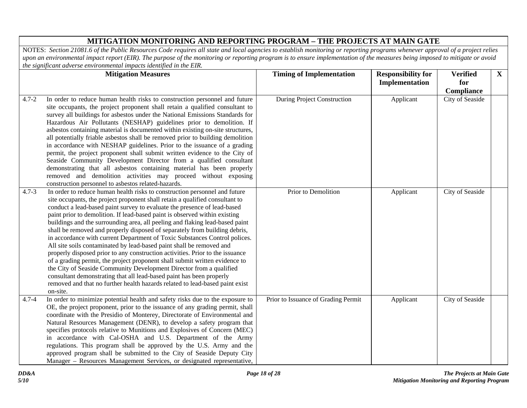|           | <b>Mitigation Measures</b>                                                                                                                                                                                                                                                                                                                                                                                                                                                                                                                                                                                                                                                                                                                                                                                                                                                                                                                                                                                                                          | <b>Timing of Implementation</b>     | <b>Responsibility for</b> | <b>Verified</b> | $\mathbf{X}$ |
|-----------|-----------------------------------------------------------------------------------------------------------------------------------------------------------------------------------------------------------------------------------------------------------------------------------------------------------------------------------------------------------------------------------------------------------------------------------------------------------------------------------------------------------------------------------------------------------------------------------------------------------------------------------------------------------------------------------------------------------------------------------------------------------------------------------------------------------------------------------------------------------------------------------------------------------------------------------------------------------------------------------------------------------------------------------------------------|-------------------------------------|---------------------------|-----------------|--------------|
|           |                                                                                                                                                                                                                                                                                                                                                                                                                                                                                                                                                                                                                                                                                                                                                                                                                                                                                                                                                                                                                                                     |                                     | Implementation            | for             |              |
|           |                                                                                                                                                                                                                                                                                                                                                                                                                                                                                                                                                                                                                                                                                                                                                                                                                                                                                                                                                                                                                                                     |                                     |                           | Compliance      |              |
| $4.7 - 2$ | In order to reduce human health risks to construction personnel and future<br>site occupants, the project proponent shall retain a qualified consultant to<br>survey all buildings for asbestos under the National Emissions Standards for<br>Hazardous Air Pollutants (NESHAP) guidelines prior to demolition. If<br>asbestos containing material is documented within existing on-site structures,<br>all potentially friable asbestos shall be removed prior to building demolition<br>in accordance with NESHAP guidelines. Prior to the issuance of a grading<br>permit, the project proponent shall submit written evidence to the City of<br>Seaside Community Development Director from a qualified consultant<br>demonstrating that all asbestos containing material has been properly<br>removed and demolition activities may proceed without exposing<br>construction personnel to asbestos related-hazards.                                                                                                                            | During Project Construction         | Applicant                 | City of Seaside |              |
| $4.7 - 3$ | In order to reduce human health risks to construction personnel and future<br>site occupants, the project proponent shall retain a qualified consultant to<br>conduct a lead-based paint survey to evaluate the presence of lead-based<br>paint prior to demolition. If lead-based paint is observed within existing<br>buildings and the surrounding area, all peeling and flaking lead-based paint<br>shall be removed and properly disposed of separately from building debris,<br>in accordance with current Department of Toxic Substances Control polices.<br>All site soils contaminated by lead-based paint shall be removed and<br>properly disposed prior to any construction activities. Prior to the issuance<br>of a grading permit, the project proponent shall submit written evidence to<br>the City of Seaside Community Development Director from a qualified<br>consultant demonstrating that all lead-based paint has been properly<br>removed and that no further health hazards related to lead-based paint exist<br>on-site. | Prior to Demolition                 | Applicant                 | City of Seaside |              |
| $4.7 - 4$ | In order to minimize potential health and safety risks due to the exposure to<br>OE, the project proponent, prior to the issuance of any grading permit, shall<br>coordinate with the Presidio of Monterey, Directorate of Environmental and<br>Natural Resources Management (DENR), to develop a safety program that<br>specifies protocols relative to Munitions and Explosives of Concern (MEC)<br>in accordance with Cal-OSHA and U.S. Department of the Army<br>regulations. This program shall be approved by the U.S. Army and the<br>approved program shall be submitted to the City of Seaside Deputy City<br>Manager - Resources Management Services, or designated representative,                                                                                                                                                                                                                                                                                                                                                       | Prior to Issuance of Grading Permit | Applicant                 | City of Seaside |              |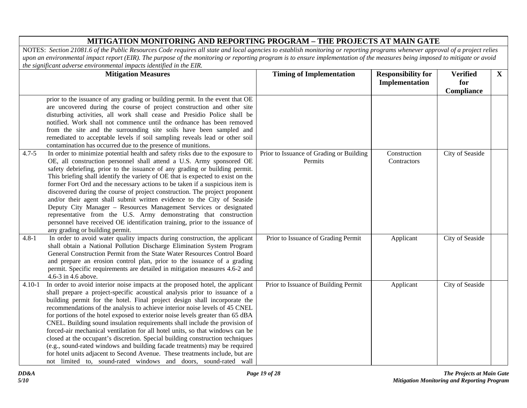|            | <b>Mitigation Measures</b>                                                                                                                                                                                                                                                                                                                                                                                                                                                                                                                                                                                                                                                                                                                                                                                                                                                                   | <b>Timing of Implementation</b>                     | <b>Responsibility for</b><br>Implementation | <b>Verified</b><br>for | $\mathbf{X}$ |
|------------|----------------------------------------------------------------------------------------------------------------------------------------------------------------------------------------------------------------------------------------------------------------------------------------------------------------------------------------------------------------------------------------------------------------------------------------------------------------------------------------------------------------------------------------------------------------------------------------------------------------------------------------------------------------------------------------------------------------------------------------------------------------------------------------------------------------------------------------------------------------------------------------------|-----------------------------------------------------|---------------------------------------------|------------------------|--------------|
|            |                                                                                                                                                                                                                                                                                                                                                                                                                                                                                                                                                                                                                                                                                                                                                                                                                                                                                              |                                                     |                                             | Compliance             |              |
|            | prior to the issuance of any grading or building permit. In the event that OE<br>are uncovered during the course of project construction and other site<br>disturbing activities, all work shall cease and Presidio Police shall be<br>notified. Work shall not commence until the ordnance has been removed<br>from the site and the surrounding site soils have been sampled and<br>remediated to acceptable levels if soil sampling reveals lead or other soil<br>contamination has occurred due to the presence of munitions.                                                                                                                                                                                                                                                                                                                                                            |                                                     |                                             |                        |              |
| $4.7 - 5$  | In order to minimize potential health and safety risks due to the exposure to<br>OE, all construction personnel shall attend a U.S. Army sponsored OE<br>safety debriefing, prior to the issuance of any grading or building permit.<br>This briefing shall identify the variety of OE that is expected to exist on the<br>former Fort Ord and the necessary actions to be taken if a suspicious item is<br>discovered during the course of project construction. The project proponent<br>and/or their agent shall submit written evidence to the City of Seaside<br>Deputy City Manager - Resources Management Services or designated<br>representative from the U.S. Army demonstrating that construction<br>personnel have received OE identification training, prior to the issuance of<br>any grading or building permit.                                                              | Prior to Issuance of Grading or Building<br>Permits | Construction<br>Contractors                 | City of Seaside        |              |
| $4.8 - 1$  | In order to avoid water quality impacts during construction, the applicant<br>shall obtain a National Pollution Discharge Elimination System Program<br>General Construction Permit from the State Water Resources Control Board<br>and prepare an erosion control plan, prior to the issuance of a grading<br>permit. Specific requirements are detailed in mitigation measures 4.6-2 and<br>4.6-3 in 4.6 above.                                                                                                                                                                                                                                                                                                                                                                                                                                                                            | Prior to Issuance of Grading Permit                 | Applicant                                   | City of Seaside        |              |
| $4.10 - 1$ | In order to avoid interior noise impacts at the proposed hotel, the applicant<br>shall prepare a project-specific acoustical analysis prior to issuance of a<br>building permit for the hotel. Final project design shall incorporate the<br>recommendations of the analysis to achieve interior noise levels of 45 CNEL<br>for portions of the hotel exposed to exterior noise levels greater than 65 dBA<br>CNEL. Building sound insulation requirements shall include the provision of<br>forced-air mechanical ventilation for all hotel units, so that windows can be<br>closed at the occupant's discretion. Special building construction techniques<br>(e.g., sound-rated windows and building facade treatments) may be required<br>for hotel units adjacent to Second Avenue. These treatments include, but are<br>not limited to, sound-rated windows and doors, sound-rated wall | Prior to Issuance of Building Permit                | Applicant                                   | City of Seaside        |              |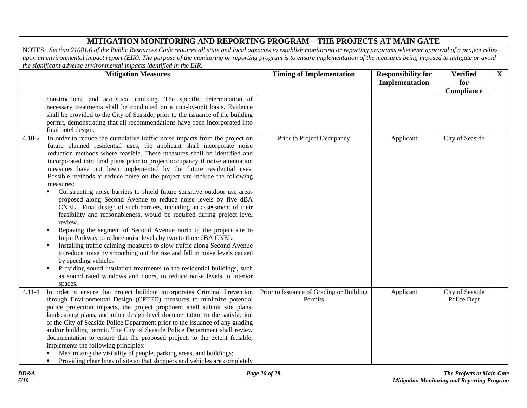|            | <b>Mitigation Measures</b>                                                                                                                                                                                                                                                                                                                                                                                                                                                                                                                                                                                                                                                                                                                                                                                                                                                                                                                                                                                                                                                                                                                                                                                                                                                                                                   | <b>Timing of Implementation</b>                     | <b>Responsibility for</b> | <b>Verified</b>                | $\mathbf{X}$ |
|------------|------------------------------------------------------------------------------------------------------------------------------------------------------------------------------------------------------------------------------------------------------------------------------------------------------------------------------------------------------------------------------------------------------------------------------------------------------------------------------------------------------------------------------------------------------------------------------------------------------------------------------------------------------------------------------------------------------------------------------------------------------------------------------------------------------------------------------------------------------------------------------------------------------------------------------------------------------------------------------------------------------------------------------------------------------------------------------------------------------------------------------------------------------------------------------------------------------------------------------------------------------------------------------------------------------------------------------|-----------------------------------------------------|---------------------------|--------------------------------|--------------|
|            |                                                                                                                                                                                                                                                                                                                                                                                                                                                                                                                                                                                                                                                                                                                                                                                                                                                                                                                                                                                                                                                                                                                                                                                                                                                                                                                              |                                                     | Implementation            | for                            |              |
|            | constructions, and acoustical caulking. The specific determination of<br>necessary treatments shall be conducted on a unit-by-unit basis. Evidence<br>shall be provided to the City of Seaside, prior to the issuance of the building<br>permit, demonstrating that all recommendations have been incorporated into<br>final hotel design.                                                                                                                                                                                                                                                                                                                                                                                                                                                                                                                                                                                                                                                                                                                                                                                                                                                                                                                                                                                   |                                                     |                           | Compliance                     |              |
| $4.10 - 2$ | In order to reduce the cumulative traffic noise impacts from the project on<br>future planned residential uses, the applicant shall incorporate noise<br>reduction methods where feasible. These measures shall be identified and<br>incorporated into final plans prior to project occupancy if noise attenuation<br>measures have not been implemented by the future residential uses.<br>Possible methods to reduce noise on the project site include the following<br>measures:<br>Constructing noise barriers to shield future sensitive outdoor use areas<br>proposed along Second Avenue to reduce noise levels by five dBA<br>CNEL. Final design of such barriers, including an assessment of their<br>feasibility and reasonableness, would be required during project level<br>review.<br>Repaving the segment of Second Avenue north of the project site to<br>Imjin Parkway to reduce noise levels by two to three dBA CNEL.<br>Installing traffic calming measures to slow traffic along Second Avenue<br>$\blacksquare$<br>to reduce noise by smoothing out the rise and fall in noise levels caused<br>by speeding vehicles.<br>Providing sound insulation treatments to the residential buildings, such<br>$\blacksquare$<br>as sound rated windows and doors, to reduce noise levels in interior<br>spaces. | Prior to Project Occupancy                          | Applicant                 | City of Seaside                |              |
| $4.11 - 1$ | In order to ensure that project buildout incorporates Criminal Prevention<br>through Environmental Design (CPTED) measures to minimize potential<br>police protection impacts, the project proponent shall submit site plans,<br>landscaping plans, and other design-level documentation to the satisfaction<br>of the City of Seaside Police Department prior to the issuance of any grading<br>and/or building permit. The City of Seaside Police Department shall review<br>documentation to ensure that the proposed project, to the extent feasible,<br>implements the following principles:<br>Maximizing the visibility of people, parking areas, and buildings;<br>Providing clear lines of site so that shoppers and vehicles are completely<br>$\blacksquare$                                                                                                                                                                                                                                                                                                                                                                                                                                                                                                                                                      | Prior to Issuance of Grading or Building<br>Permits | Applicant                 | City of Seaside<br>Police Dept |              |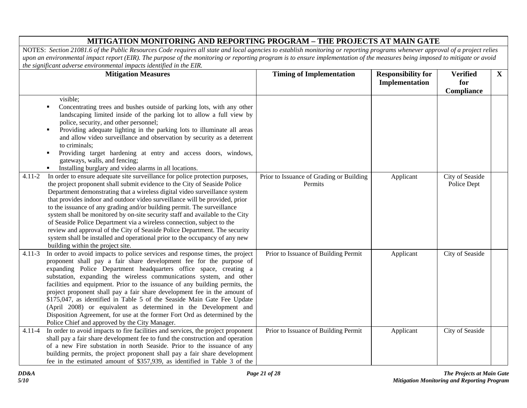|            | <b>Mitigation Measures</b>                                                                                                                                                                                                                                                                                                                                                                                                                                                                                                                                                                                                                                                                                                                                      | <b>Timing of Implementation</b>                     | <b>Responsibility for</b> | <b>Verified</b>                | $\mathbf{X}$ |
|------------|-----------------------------------------------------------------------------------------------------------------------------------------------------------------------------------------------------------------------------------------------------------------------------------------------------------------------------------------------------------------------------------------------------------------------------------------------------------------------------------------------------------------------------------------------------------------------------------------------------------------------------------------------------------------------------------------------------------------------------------------------------------------|-----------------------------------------------------|---------------------------|--------------------------------|--------------|
|            |                                                                                                                                                                                                                                                                                                                                                                                                                                                                                                                                                                                                                                                                                                                                                                 |                                                     | Implementation            | for                            |              |
|            | visible;<br>Concentrating trees and bushes outside of parking lots, with any other<br>٠<br>landscaping limited inside of the parking lot to allow a full view by<br>police, security, and other personnel;<br>Providing adequate lighting in the parking lots to illuminate all areas<br>$\blacksquare$<br>and allow video surveillance and observation by security as a deterrent<br>to criminals;<br>Providing target hardening at entry and access doors, windows,<br>٠<br>gateways, walls, and fencing;<br>Installing burglary and video alarms in all locations.<br>$\blacksquare$                                                                                                                                                                         |                                                     |                           | Compliance                     |              |
| $4.11 - 2$ | In order to ensure adequate site surveillance for police protection purposes,<br>the project proponent shall submit evidence to the City of Seaside Police<br>Department demonstrating that a wireless digital video surveillance system<br>that provides indoor and outdoor video surveillance will be provided, prior<br>to the issuance of any grading and/or building permit. The surveillance<br>system shall be monitored by on-site security staff and available to the City<br>of Seaside Police Department via a wireless connection, subject to the<br>review and approval of the City of Seaside Police Department. The security<br>system shall be installed and operational prior to the occupancy of any new<br>building within the project site. | Prior to Issuance of Grading or Building<br>Permits | Applicant                 | City of Seaside<br>Police Dept |              |
| $4.11 - 3$ | In order to avoid impacts to police services and response times, the project<br>proponent shall pay a fair share development fee for the purpose of<br>expanding Police Department headquarters office space, creating a<br>substation, expanding the wireless communications system, and other<br>facilities and equipment. Prior to the issuance of any building permits, the<br>project proponent shall pay a fair share development fee in the amount of<br>\$175,047, as identified in Table 5 of the Seaside Main Gate Fee Update<br>(April 2008) or equivalent as determined in the Development and<br>Disposition Agreement, for use at the former Fort Ord as determined by the<br>Police Chief and approved by the City Manager.                      | Prior to Issuance of Building Permit                | Applicant                 | City of Seaside                |              |
| 4.11-4     | In order to avoid impacts to fire facilities and services, the project proponent<br>shall pay a fair share development fee to fund the construction and operation<br>of a new Fire substation in north Seaside. Prior to the issuance of any<br>building permits, the project proponent shall pay a fair share development<br>fee in the estimated amount of \$357,939, as identified in Table 3 of the                                                                                                                                                                                                                                                                                                                                                         | Prior to Issuance of Building Permit                | Applicant                 | City of Seaside                |              |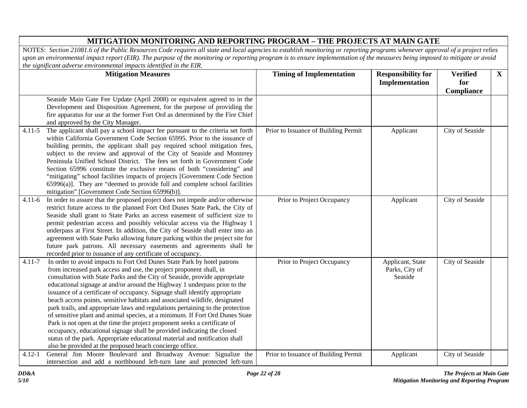|            | <b>Mitigation Measures</b>                                                                                                                                                                                                                                                                                                                                                                                                                                                                                                                                                                                                                                                                                                                                                                                                                                                                                                                 | <b>Timing of Implementation</b>      | <b>Responsibility for</b><br>Implementation   | <b>Verified</b><br>for<br>Compliance | $\mathbf{X}$ |
|------------|--------------------------------------------------------------------------------------------------------------------------------------------------------------------------------------------------------------------------------------------------------------------------------------------------------------------------------------------------------------------------------------------------------------------------------------------------------------------------------------------------------------------------------------------------------------------------------------------------------------------------------------------------------------------------------------------------------------------------------------------------------------------------------------------------------------------------------------------------------------------------------------------------------------------------------------------|--------------------------------------|-----------------------------------------------|--------------------------------------|--------------|
|            | Seaside Main Gate Fee Update (April 2008) or equivalent agreed to in the<br>Development and Disposition Agreement, for the purpose of providing the<br>fire apparatus for use at the former Fort Ord as determined by the Fire Chief<br>and approved by the City Manager.                                                                                                                                                                                                                                                                                                                                                                                                                                                                                                                                                                                                                                                                  |                                      |                                               |                                      |              |
| $4.11 - 5$ | The applicant shall pay a school impact fee pursuant to the criteria set forth<br>within California Government Code Section 65995. Prior to the issuance of<br>building permits, the applicant shall pay required school mitigation fees,<br>subject to the review and approval of the City of Seaside and Monterey<br>Peninsula Unified School District. The fees set forth in Government Code<br>Section 65996 constitute the exclusive means of both "considering" and<br>"mitigating" school facilities impacts of projects [Government Code Section<br>$65996(a)$ ]. They are "deemed to provide full and complete school facilities<br>mitigation" [Government Code Section 65996(b)].                                                                                                                                                                                                                                               | Prior to Issuance of Building Permit | Applicant                                     | City of Seaside                      |              |
| $4.11 - 6$ | In order to assure that the proposed project does not impede and/or otherwise<br>restrict future access to the planned Fort Ord Dunes State Park, the City of<br>Seaside shall grant to State Parks an access easement of sufficient size to<br>permit pedestrian access and possibly vehicular access via the Highway 1<br>underpass at First Street. In addition, the City of Seaside shall enter into an<br>agreement with State Parks allowing future parking within the project site for<br>future park patrons. All necessary easements and agreements shall be<br>recorded prior to issuance of any certificate of occupancy.                                                                                                                                                                                                                                                                                                       | Prior to Project Occupancy           | Applicant                                     | City of Seaside                      |              |
| $4.11 - 7$ | In order to avoid impacts to Fort Ord Dunes State Park by hotel patrons<br>from increased park access and use, the project proponent shall, in<br>consultation with State Parks and the City of Seaside, provide appropriate<br>educational signage at and/or around the Highway 1 underpass prior to the<br>issuance of a certificate of occupancy. Signage shall identify appropriate<br>beach access points, sensitive habitats and associated wildlife, designated<br>park trails, and appropriate laws and regulations pertaining to the protection<br>of sensitive plant and animal species, at a minimum. If Fort Ord Dunes State<br>Park is not open at the time the project proponent seeks a certificate of<br>occupancy, educational signage shall be provided indicating the closed<br>status of the park. Appropriate educational material and notification shall<br>also be provided at the proposed beach concierge office. | Prior to Project Occupancy           | Applicant, State<br>Parks, City of<br>Seaside | City of Seaside                      |              |
| $4.12 - 1$ | General Jim Moore Boulevard and Broadway Avenue: Signalize the<br>intersection and add a northbound left-turn lane and protected left-turn                                                                                                                                                                                                                                                                                                                                                                                                                                                                                                                                                                                                                                                                                                                                                                                                 | Prior to Issuance of Building Permit | Applicant                                     | City of Seaside                      |              |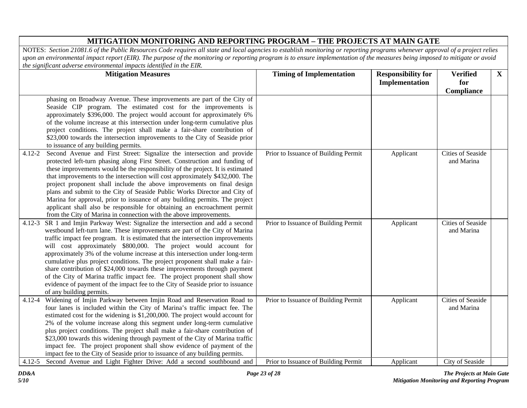|            | <b>Mitigation Measures</b>                                                                                                                                   | <b>Timing of Implementation</b>      | <b>Responsibility for</b> | <b>Verified</b>          | $\mathbf{X}$ |
|------------|--------------------------------------------------------------------------------------------------------------------------------------------------------------|--------------------------------------|---------------------------|--------------------------|--------------|
|            |                                                                                                                                                              |                                      | <b>Implementation</b>     | for                      |              |
|            |                                                                                                                                                              |                                      |                           | Compliance               |              |
|            | phasing on Broadway Avenue. These improvements are part of the City of                                                                                       |                                      |                           |                          |              |
|            | Seaside CIP program. The estimated cost for the improvements is                                                                                              |                                      |                           |                          |              |
|            | approximately \$396,000. The project would account for approximately 6%                                                                                      |                                      |                           |                          |              |
|            | of the volume increase at this intersection under long-term cumulative plus                                                                                  |                                      |                           |                          |              |
|            | project conditions. The project shall make a fair-share contribution of                                                                                      |                                      |                           |                          |              |
|            | \$23,000 towards the intersection improvements to the City of Seaside prior                                                                                  |                                      |                           |                          |              |
| $4.12 - 2$ | to issuance of any building permits.<br>Second Avenue and First Street: Signalize the intersection and provide                                               |                                      |                           | <b>Cities of Seaside</b> |              |
|            | protected left-turn phasing along First Street. Construction and funding of                                                                                  | Prior to Issuance of Building Permit | Applicant                 | and Marina               |              |
|            | these improvements would be the responsibility of the project. It is estimated                                                                               |                                      |                           |                          |              |
|            | that improvements to the intersection will cost approximately \$432,000. The                                                                                 |                                      |                           |                          |              |
|            | project proponent shall include the above improvements on final design                                                                                       |                                      |                           |                          |              |
|            | plans and submit to the City of Seaside Public Works Director and City of                                                                                    |                                      |                           |                          |              |
|            | Marina for approval, prior to issuance of any building permits. The project                                                                                  |                                      |                           |                          |              |
|            | applicant shall also be responsible for obtaining an encroachment permit                                                                                     |                                      |                           |                          |              |
|            | from the City of Marina in connection with the above improvements.                                                                                           |                                      |                           |                          |              |
| $4.12 - 3$ | SR 1 and Imjin Parkway West: Signalize the intersection and add a second                                                                                     | Prior to Issuance of Building Permit | Applicant                 | <b>Cities of Seaside</b> |              |
|            | westbound left-turn lane. These improvements are part of the City of Marina                                                                                  |                                      |                           | and Marina               |              |
|            | traffic impact fee program. It is estimated that the intersection improvements                                                                               |                                      |                           |                          |              |
|            | will cost approximately \$800,000. The project would account for                                                                                             |                                      |                           |                          |              |
|            | approximately 3% of the volume increase at this intersection under long-term                                                                                 |                                      |                           |                          |              |
|            | cumulative plus project conditions. The project proponent shall make a fair-                                                                                 |                                      |                           |                          |              |
|            | share contribution of \$24,000 towards these improvements through payment                                                                                    |                                      |                           |                          |              |
|            | of the City of Marina traffic impact fee. The project proponent shall show<br>evidence of payment of the impact fee to the City of Seaside prior to issuance |                                      |                           |                          |              |
|            | of any building permits.                                                                                                                                     |                                      |                           |                          |              |
| $4.12 - 4$ | Widening of Imjin Parkway between Imjin Road and Reservation Road to                                                                                         | Prior to Issuance of Building Permit | Applicant                 | <b>Cities of Seaside</b> |              |
|            | four lanes is included within the City of Marina's traffic impact fee. The                                                                                   |                                      |                           | and Marina               |              |
|            | estimated cost for the widening is \$1,200,000. The project would account for                                                                                |                                      |                           |                          |              |
|            | 2% of the volume increase along this segment under long-term cumulative                                                                                      |                                      |                           |                          |              |
|            | plus project conditions. The project shall make a fair-share contribution of                                                                                 |                                      |                           |                          |              |
|            | \$23,000 towards this widening through payment of the City of Marina traffic                                                                                 |                                      |                           |                          |              |
|            | impact fee. The project proponent shall show evidence of payment of the                                                                                      |                                      |                           |                          |              |
|            | impact fee to the City of Seaside prior to issuance of any building permits.                                                                                 |                                      |                           |                          |              |
| $4.12 - 5$ | Second Avenue and Light Fighter Drive: Add a second southbound and                                                                                           | Prior to Issuance of Building Permit | Applicant                 | City of Seaside          |              |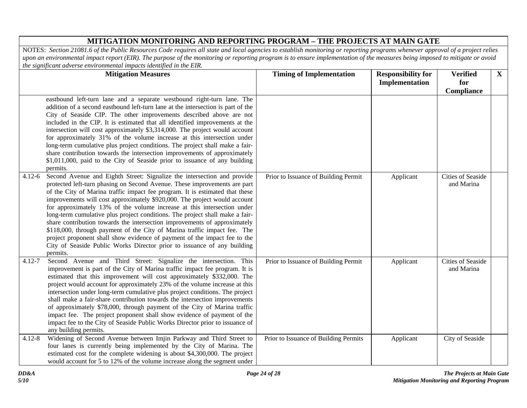|            | <b>Mitigation Measures</b>                                                                                                                                                                                                                                                                                                                                                                                                                                                                                                                                                                                                                                                                                                                                                                                | <b>Timing of Implementation</b>       | <b>Responsibility for</b><br>Implementation | <b>Verified</b><br>for                 | $\mathbf{X}$ |
|------------|-----------------------------------------------------------------------------------------------------------------------------------------------------------------------------------------------------------------------------------------------------------------------------------------------------------------------------------------------------------------------------------------------------------------------------------------------------------------------------------------------------------------------------------------------------------------------------------------------------------------------------------------------------------------------------------------------------------------------------------------------------------------------------------------------------------|---------------------------------------|---------------------------------------------|----------------------------------------|--------------|
|            | eastbound left-turn lane and a separate westbound right-turn lane. The<br>addition of a second eastbound left-turn lane at the intersection is part of the<br>City of Seaside CIP. The other improvements described above are not<br>included in the CIP. It is estimated that all identified improvements at the<br>intersection will cost approximately \$3,314,000. The project would account<br>for approximately 31% of the volume increase at this intersection under<br>long-term cumulative plus project conditions. The project shall make a fair-<br>share contribution towards the intersection improvements of approximately<br>\$1,011,000, paid to the City of Seaside prior to issuance of any building<br>permits.                                                                        |                                       |                                             | Compliance                             |              |
| $4.12 - 6$ | Second Avenue and Eighth Street: Signalize the intersection and provide<br>protected left-turn phasing on Second Avenue. These improvements are part<br>of the City of Marina traffic impact fee program. It is estimated that these<br>improvements will cost approximately \$920,000. The project would account<br>for approximately 13% of the volume increase at this intersection under<br>long-term cumulative plus project conditions. The project shall make a fair-<br>share contribution towards the intersection improvements of approximately<br>\$118,000, through payment of the City of Marina traffic impact fee. The<br>project proponent shall show evidence of payment of the impact fee to the<br>City of Seaside Public Works Director prior to issuance of any building<br>permits. | Prior to Issuance of Building Permit  | Applicant                                   | <b>Cities of Seaside</b><br>and Marina |              |
| 4.12-7     | Second Avenue and Third Street: Signalize the intersection. This<br>improvement is part of the City of Marina traffic impact fee program. It is<br>estimated that this improvement will cost approximately \$332,000. The<br>project would account for approximately 23% of the volume increase at this<br>intersection under long-term cumulative plus project conditions. The project<br>shall make a fair-share contribution towards the intersection improvements<br>of approximately \$78,000, through payment of the City of Marina traffic<br>impact fee. The project proponent shall show evidence of payment of the<br>impact fee to the City of Seaside Public Works Director prior to issuance of<br>any building permits.                                                                     | Prior to Issuance of Building Permit  | Applicant                                   | Cities of Seaside<br>and Marina        |              |
| $4.12 - 8$ | Widening of Second Avenue between Imjin Parkway and Third Street to<br>four lanes is currently being implemented by the City of Marina. The<br>estimated cost for the complete widening is about \$4,300,000. The project<br>would account for 5 to 12% of the volume increase along the segment under                                                                                                                                                                                                                                                                                                                                                                                                                                                                                                    | Prior to Issuance of Building Permits | Applicant                                   | City of Seaside                        |              |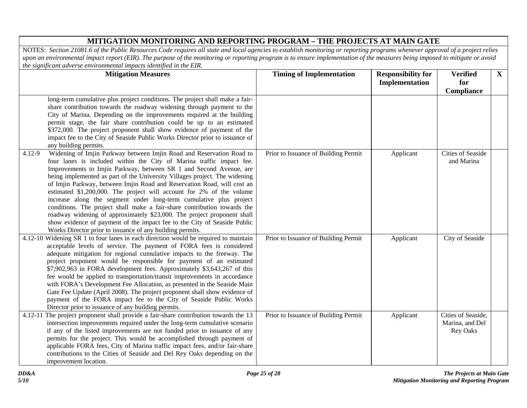| <b>Mitigation Measures</b>                                                                                                                                                                                                                                                                                                                                                                                                                                                                                                                                                                                                                                                                                                                                                                                                              | <b>Timing of Implementation</b>      | <b>Responsibility for</b> | <b>Verified</b>                                          | $\mathbf{X}$ |
|-----------------------------------------------------------------------------------------------------------------------------------------------------------------------------------------------------------------------------------------------------------------------------------------------------------------------------------------------------------------------------------------------------------------------------------------------------------------------------------------------------------------------------------------------------------------------------------------------------------------------------------------------------------------------------------------------------------------------------------------------------------------------------------------------------------------------------------------|--------------------------------------|---------------------------|----------------------------------------------------------|--------------|
|                                                                                                                                                                                                                                                                                                                                                                                                                                                                                                                                                                                                                                                                                                                                                                                                                                         |                                      | Implementation            | for                                                      |              |
|                                                                                                                                                                                                                                                                                                                                                                                                                                                                                                                                                                                                                                                                                                                                                                                                                                         |                                      |                           | Compliance                                               |              |
| long-term cumulative plus project conditions. The project shall make a fair-<br>share contribution towards the roadway widening through payment to the<br>City of Marina. Depending on the improvements required at the building<br>permit stage, the fair share contribution could be up to an estimated<br>\$372,000. The project proponent shall show evidence of payment of the<br>impact fee to the City of Seaside Public Works Director prior to issuance of<br>any building permits.                                                                                                                                                                                                                                                                                                                                            |                                      |                           |                                                          |              |
| Widening of Imjin Parkway between Imjin Road and Reservation Road to<br>$4.12 - 9$<br>four lanes is included within the City of Marina traffic impact fee.<br>Improvements to Imjin Parkway, between SR 1 and Second Avenue, are<br>being implemented as part of the University Villages project. The widening<br>of Imjin Parkway, between Imjin Road and Reservation Road, will cost an<br>estimated \$1,200,000. The project will account for 2% of the volume<br>increase along the segment under long-term cumulative plus project<br>conditions. The project shall make a fair-share contribution towards the<br>roadway widening of approximately \$23,000. The project proponent shall<br>show evidence of payment of the impact fee to the City of Seaside Public<br>Works Director prior to issuance of any building permits. | Prior to Issuance of Building Permit | Applicant                 | <b>Cities of Seaside</b><br>and Marina                   |              |
| 4.12-10 Widening SR 1 to four lanes in each direction would be required to maintain<br>acceptable levels of service. The payment of FORA fees is considered<br>adequate mitigation for regional cumulative impacts to the freeway. The<br>project proponent would be responsible for payment of an estimated<br>\$7,902,963 in FORA development fees. Approximately \$3,643,267 of this<br>fee would be applied to transportation/transit improvements in accordance<br>with FORA's Development Fee Allocation, as presented in the Seaside Main<br>Gate Fee Update (April 2008). The project proponent shall show evidence of<br>payment of the FORA impact fee to the City of Seaside Public Works<br>Director prior to issuance of any building permits.                                                                             | Prior to Issuance of Building Permit | Applicant                 | City of Seaside                                          |              |
| 4.12-11 The project proponent shall provide a fair-share contribution towards the 13<br>intersection improvements required under the long-term cumulative scenario<br>if any of the listed improvements are not funded prior to issuance of any<br>permits for the project. This would be accomplished through payment of<br>applicable FORA fees, City of Marina traffic impact fees, and/or fair-share<br>contributions to the Cities of Seaside and Del Rey Oaks depending on the<br>improvement location.                                                                                                                                                                                                                                                                                                                           | Prior to Issuance of Building Permit | Applicant                 | Cities of Seaside,<br>Marina, and Del<br><b>Rey Oaks</b> |              |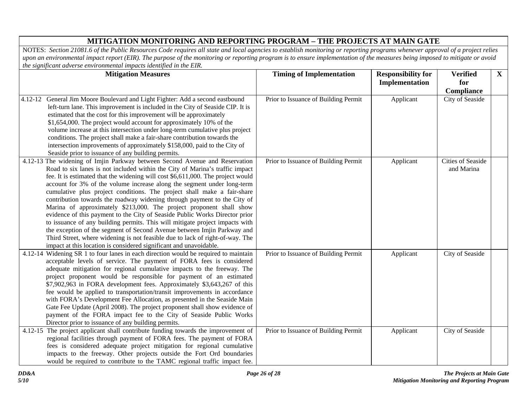| <b>Mitigation Measures</b>                                                                                                                                                                                                                                                                                                                                                                                                                                                                                                                                                                                                                                                                                                                                                                                                                                                                                                                               | <b>Timing of Implementation</b>      | <b>Responsibility for</b> | <b>Verified</b>                 | $\mathbf X$ |
|----------------------------------------------------------------------------------------------------------------------------------------------------------------------------------------------------------------------------------------------------------------------------------------------------------------------------------------------------------------------------------------------------------------------------------------------------------------------------------------------------------------------------------------------------------------------------------------------------------------------------------------------------------------------------------------------------------------------------------------------------------------------------------------------------------------------------------------------------------------------------------------------------------------------------------------------------------|--------------------------------------|---------------------------|---------------------------------|-------------|
|                                                                                                                                                                                                                                                                                                                                                                                                                                                                                                                                                                                                                                                                                                                                                                                                                                                                                                                                                          |                                      | <b>Implementation</b>     | for                             |             |
|                                                                                                                                                                                                                                                                                                                                                                                                                                                                                                                                                                                                                                                                                                                                                                                                                                                                                                                                                          |                                      |                           | Compliance                      |             |
| 4.12-12 General Jim Moore Boulevard and Light Fighter: Add a second eastbound<br>left-turn lane. This improvement is included in the City of Seaside CIP. It is<br>estimated that the cost for this improvement will be approximately<br>\$1,654,000. The project would account for approximately 10% of the<br>volume increase at this intersection under long-term cumulative plus project<br>conditions. The project shall make a fair-share contribution towards the<br>intersection improvements of approximately \$158,000, paid to the City of<br>Seaside prior to issuance of any building permits.                                                                                                                                                                                                                                                                                                                                              | Prior to Issuance of Building Permit | Applicant                 | City of Seaside                 |             |
| 4.12-13 The widening of Imjin Parkway between Second Avenue and Reservation<br>Road to six lanes is not included within the City of Marina's traffic impact<br>fee. It is estimated that the widening will cost \$6,611,000. The project would<br>account for 3% of the volume increase along the segment under long-term<br>cumulative plus project conditions. The project shall make a fair-share<br>contribution towards the roadway widening through payment to the City of<br>Marina of approximately \$213,000. The project proponent shall show<br>evidence of this payment to the City of Seaside Public Works Director prior<br>to issuance of any building permits. This will mitigate project impacts with<br>the exception of the segment of Second Avenue between Imjin Parkway and<br>Third Street, where widening is not feasible due to lack of right-of-way. The<br>impact at this location is considered significant and unavoidable. | Prior to Issuance of Building Permit | Applicant                 | Cities of Seaside<br>and Marina |             |
| 4.12-14 Widening SR 1 to four lanes in each direction would be required to maintain<br>acceptable levels of service. The payment of FORA fees is considered<br>adequate mitigation for regional cumulative impacts to the freeway. The<br>project proponent would be responsible for payment of an estimated<br>\$7,902,963 in FORA development fees. Approximately \$3,643,267 of this<br>fee would be applied to transportation/transit improvements in accordance<br>with FORA's Development Fee Allocation, as presented in the Seaside Main<br>Gate Fee Update (April 2008). The project proponent shall show evidence of<br>payment of the FORA impact fee to the City of Seaside Public Works<br>Director prior to issuance of any building permits.                                                                                                                                                                                              | Prior to Issuance of Building Permit | Applicant                 | City of Seaside                 |             |
| 4.12-15 The project applicant shall contribute funding towards the improvement of<br>regional facilities through payment of FORA fees. The payment of FORA<br>fees is considered adequate project mitigation for regional cumulative<br>impacts to the freeway. Other projects outside the Fort Ord boundaries<br>would be required to contribute to the TAMC regional traffic impact fee.                                                                                                                                                                                                                                                                                                                                                                                                                                                                                                                                                               | Prior to Issuance of Building Permit | Applicant                 | City of Seaside                 |             |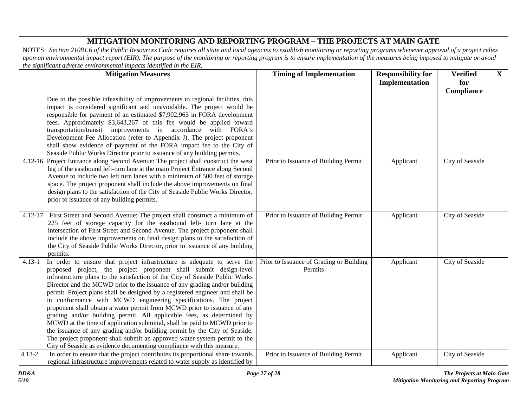|            | <b>Mitigation Measures</b>                                                                                                                                                                                                                                                                                                                                                                                                                                                                                                                                                                                                                                                                                                                                                                                                                                                                                                            | <b>Timing of Implementation</b>                     | <b>Responsibility for</b><br>Implementation | <b>Verified</b><br>for | $\mathbf{X}$ |
|------------|---------------------------------------------------------------------------------------------------------------------------------------------------------------------------------------------------------------------------------------------------------------------------------------------------------------------------------------------------------------------------------------------------------------------------------------------------------------------------------------------------------------------------------------------------------------------------------------------------------------------------------------------------------------------------------------------------------------------------------------------------------------------------------------------------------------------------------------------------------------------------------------------------------------------------------------|-----------------------------------------------------|---------------------------------------------|------------------------|--------------|
|            | Due to the possible infeasibility of improvements to regional facilities, this<br>impact is considered significant and unavoidable. The project would be<br>responsible for payment of an estimated \$7,902,963 in FORA development<br>fees. Approximately \$3,643,267 of this fee would be applied toward<br>transportation/transit improvements in accordance with FORA's<br>Development Fee Allocation (refer to Appendix J). The project proponent<br>shall show evidence of payment of the FORA impact fee to the City of<br>Seaside Public Works Director prior to issuance of any building permits.                                                                                                                                                                                                                                                                                                                            |                                                     |                                             | Compliance             |              |
|            | 4.12-16 Project Entrance along Second Avenue: The project shall construct the west<br>leg of the eastbound left-turn lane at the main Project Entrance along Second<br>Avenue to include two left turn lanes with a minimum of 500 feet of storage<br>space. The project proponent shall include the above improvements on final<br>design plans to the satisfaction of the City of Seaside Public Works Director,<br>prior to issuance of any building permits.                                                                                                                                                                                                                                                                                                                                                                                                                                                                      | Prior to Issuance of Building Permit                | Applicant                                   | City of Seaside        |              |
| 4.12-17    | First Street and Second Avenue: The project shall construct a minimum of<br>225 feet of storage capacity for the eastbound left- turn lane at the<br>intersection of First Street and Second Avenue. The project proponent shall<br>include the above improvements on final design plans to the satisfaction of<br>the City of Seaside Public Works Director, prior to issuance of any building<br>permits.                                                                                                                                                                                                                                                                                                                                                                                                                                                                                                                           | Prior to Issuance of Building Permit                | Applicant                                   | City of Seaside        |              |
| $4.13 - 1$ | In order to ensure that project infrastructure is adequate to serve the<br>proposed project, the project proponent shall submit design-level<br>infrastructure plans to the satisfaction of the City of Seaside Public Works<br>Director and the MCWD prior to the issuance of any grading and/or building<br>permit. Project plans shall be designed by a registered engineer and shall be<br>in conformance with MCWD engineering specifications. The project<br>proponent shall obtain a water permit from MCWD prior to issuance of any<br>grading and/or building permit. All applicable fees, as determined by<br>MCWD at the time of application submittal, shall be paid to MCWD prior to<br>the issuance of any grading and/or building permit by the City of Seaside.<br>The project proponent shall submit an approved water system permit to the<br>City of Seaside as evidence documenting compliance with this measure. | Prior to Issuance of Grading or Building<br>Permits | Applicant                                   | City of Seaside        |              |
| $4.13 - 2$ | In order to ensure that the project contributes its proportional share towards<br>regional infrastructure improvements related to water supply as identified by                                                                                                                                                                                                                                                                                                                                                                                                                                                                                                                                                                                                                                                                                                                                                                       | Prior to Issuance of Building Permit                | Applicant                                   | City of Seaside        |              |